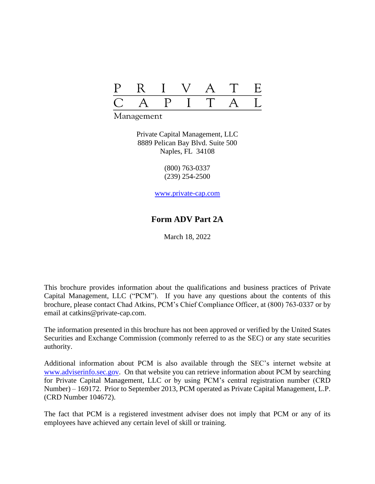

Management

Private Capital Management, LLC 8889 Pelican Bay Blvd. Suite 500 Naples, FL 34108

> (800) 763-0337 (239) 254-2500

www.private-cap.com

## **Form ADV Part 2A**

March 18, 2022

This brochure provides information about the qualifications and business practices of Private Capital Management, LLC ("PCM"). If you have any questions about the contents of this brochure, please contact Chad Atkins, PCM's Chief Compliance Officer, at (800) 763-0337 or by email at catkins@private-cap.com.

The information presented in this brochure has not been approved or verified by the United States Securities and Exchange Commission (commonly referred to as the SEC) or any state securities authority.

Additional information about PCM is also available through the SEC's internet website at www.adviserinfo.sec.gov. On that website you can retrieve information about PCM by searching for Private Capital Management, LLC or by using PCM's central registration number (CRD Number) – 169172. Prior to September 2013, PCM operated as Private Capital Management, L.P. (CRD Number 104672).

The fact that PCM is a registered investment adviser does not imply that PCM or any of its employees have achieved any certain level of skill or training.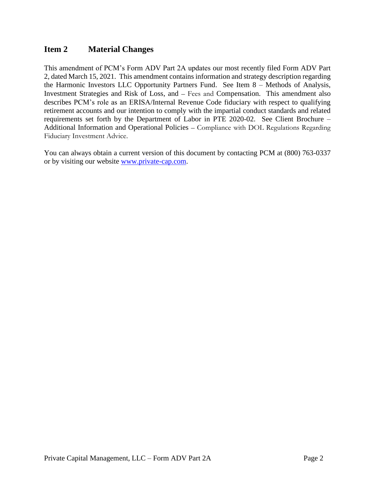## **Item 2 Material Changes**

This amendment of PCM's Form ADV Part 2A updates our most recently filed Form ADV Part 2, dated March 15, 2021. This amendment contains information and strategy description regarding the Harmonic Investors LLC Opportunity Partners Fund. See Item 8 – Methods of Analysis, Investment Strategies and Risk of Loss, and – Fees and Compensation. This amendment also describes PCM's role as an ERISA/Internal Revenue Code fiduciary with respect to qualifying retirement accounts and our intention to comply with the impartial conduct standards and related requirements set forth by the Department of Labor in PTE 2020-02. See Client Brochure – Additional Information and Operational Policies – Compliance with DOL Regulations Regarding Fiduciary Investment Advice.

You can always obtain a current version of this document by contacting PCM at (800) 763-0337 or by visiting our website www.private-cap.com.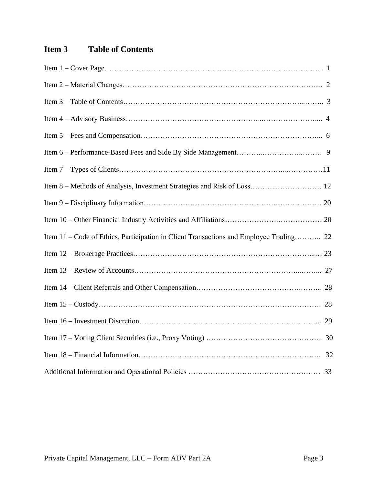# **Item 3 Table of Contents**

| Item 11 – Code of Ethics, Participation in Client Transactions and Employee Trading 22 |
|----------------------------------------------------------------------------------------|
|                                                                                        |
|                                                                                        |
|                                                                                        |
|                                                                                        |
|                                                                                        |
|                                                                                        |
|                                                                                        |
|                                                                                        |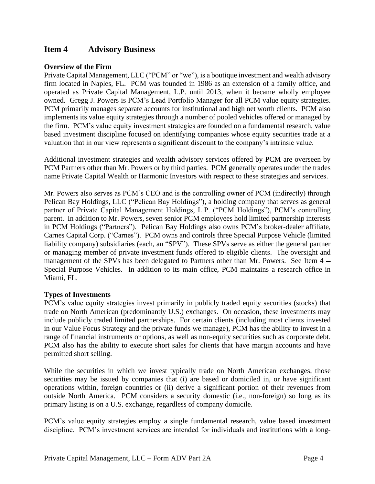## **Item 4 Advisory Business**

### **Overview of the Firm**

Private Capital Management, LLC ("PCM" or "we"), is a boutique investment and wealth advisory firm located in Naples, FL. PCM was founded in 1986 as an extension of a family office, and operated as Private Capital Management, L.P. until 2013, when it became wholly employee owned. Gregg J. Powers is PCM's Lead Portfolio Manager for all PCM value equity strategies. PCM primarily manages separate accounts for institutional and high net worth clients. PCM also implements its value equity strategies through a number of pooled vehicles offered or managed by the firm. PCM's value equity investment strategies are founded on a fundamental research, value based investment discipline focused on identifying companies whose equity securities trade at a valuation that in our view represents a significant discount to the company's intrinsic value.

Additional investment strategies and wealth advisory services offered by PCM are overseen by PCM Partners other than Mr. Powers or by third parties. PCM generally operates under the trades name Private Capital Wealth or Harmonic Investors with respect to these strategies and services.

Mr. Powers also serves as PCM's CEO and is the controlling owner of PCM (indirectly) through Pelican Bay Holdings, LLC ("Pelican Bay Holdings"), a holding company that serves as general partner of Private Capital Management Holdings, L.P. ("PCM Holdings"), PCM's controlling parent. In addition to Mr. Powers, seven senior PCM employees hold limited partnership interests in PCM Holdings ("Partners"). Pelican Bay Holdings also owns PCM's broker-dealer affiliate, Carnes Capital Corp. ("Carnes"). PCM owns and controls three Special Purpose Vehicle (limited liability company) subsidiaries (each, an "SPV"). These SPVs serve as either the general partner or managing member of private investment funds offered to eligible clients. The oversight and management of the SPVs has been delegated to Partners other than Mr. Powers. See Item 4 — Special Purpose Vehicles. In addition to its main office, PCM maintains a research office in Miami, FL.

#### **Types of Investments**

PCM's value equity strategies invest primarily in publicly traded equity securities (stocks) that trade on North American (predominantly U.S.) exchanges. On occasion, these investments may include publicly traded limited partnerships. For certain clients (including most clients invested in our Value Focus Strategy and the private funds we manage), PCM has the ability to invest in a range of financial instruments or options, as well as non-equity securities such as corporate debt. PCM also has the ability to execute short sales for clients that have margin accounts and have permitted short selling.

While the securities in which we invest typically trade on North American exchanges, those securities may be issued by companies that (i) are based or domiciled in, or have significant operations within, foreign countries or (ii) derive a significant portion of their revenues from outside North America. PCM considers a security domestic (i.e., non-foreign) so long as its primary listing is on a U.S. exchange, regardless of company domicile.

PCM's value equity strategies employ a single fundamental research, value based investment discipline. PCM's investment services are intended for individuals and institutions with a long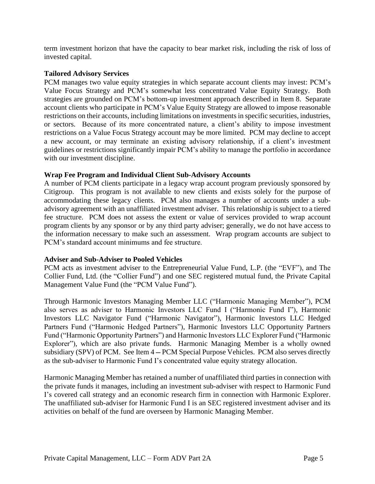term investment horizon that have the capacity to bear market risk, including the risk of loss of invested capital.

#### **Tailored Advisory Services**

PCM manages two value equity strategies in which separate account clients may invest: PCM's Value Focus Strategy and PCM's somewhat less concentrated Value Equity Strategy. Both strategies are grounded on PCM's bottom-up investment approach described in Item 8. Separate account clients who participate in PCM's Value Equity Strategy are allowed to impose reasonable restrictions on their accounts, including limitations on investments in specific securities, industries, or sectors. Because of its more concentrated nature, a client's ability to impose investment restrictions on a Value Focus Strategy account may be more limited. PCM may decline to accept a new account, or may terminate an existing advisory relationship, if a client's investment guidelines or restrictions significantly impair PCM's ability to manage the portfolio in accordance with our investment discipline.

### **Wrap Fee Program and Individual Client Sub-Advisory Accounts**

A number of PCM clients participate in a legacy wrap account program previously sponsored by Citigroup. This program is not available to new clients and exists solely for the purpose of accommodating these legacy clients. PCM also manages a number of accounts under a subadvisory agreement with an unaffiliated investment adviser. This relationship is subject to a tiered fee structure. PCM does not assess the extent or value of services provided to wrap account program clients by any sponsor or by any third party adviser; generally, we do not have access to the information necessary to make such an assessment. Wrap program accounts are subject to PCM's standard account minimums and fee structure.

#### **Adviser and Sub-Adviser to Pooled Vehicles**

PCM acts as investment adviser to the Entrepreneurial Value Fund, L.P. (the "EVF"), and The Collier Fund, Ltd. (the "Collier Fund") and one SEC registered mutual fund, the Private Capital Management Value Fund (the "PCM Value Fund").

Through Harmonic Investors Managing Member LLC ("Harmonic Managing Member"), PCM also serves as adviser to Harmonic Investors LLC Fund I ("Harmonic Fund I"), Harmonic Investors LLC Navigator Fund ("Harmonic Navigator"), Harmonic Investors LLC Hedged Partners Fund ("Harmonic Hedged Partners"), Harmonic Investors LLC Opportunity Partners Fund ("Harmonic Opportunity Partners") and Harmonic Investors LLC Explorer Fund ("Harmonic Explorer"), which are also private funds. Harmonic Managing Member is a wholly owned subsidiary (SPV) of PCM. See Item 4 — PCM Special Purpose Vehicles. PCM also serves directly as the sub-adviser to Harmonic Fund I's concentrated value equity strategy allocation.

Harmonic Managing Member has retained a number of unaffiliated third parties in connection with the private funds it manages, including an investment sub-adviser with respect to Harmonic Fund I's covered call strategy and an economic research firm in connection with Harmonic Explorer. The unaffiliated sub-adviser for Harmonic Fund I is an SEC registered investment adviser and its activities on behalf of the fund are overseen by Harmonic Managing Member.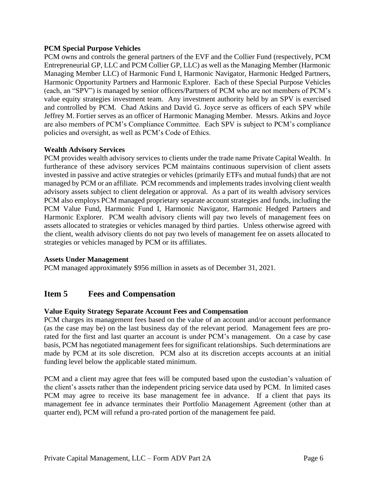### **PCM Special Purpose Vehicles**

PCM owns and controls the general partners of the EVF and the Collier Fund (respectively, PCM Entrepreneurial GP, LLC and PCM Collier GP, LLC) as well as the Managing Member (Harmonic Managing Member LLC) of Harmonic Fund I, Harmonic Navigator, Harmonic Hedged Partners, Harmonic Opportunity Partners and Harmonic Explorer. Each of these Special Purpose Vehicles (each, an "SPV") is managed by senior officers/Partners of PCM who are not members of PCM's value equity strategies investment team. Any investment authority held by an SPV is exercised and controlled by PCM. Chad Atkins and David G. Joyce serve as officers of each SPV while Jeffrey M. Fortier serves as an officer of Harmonic Managing Member. Messrs. Atkins and Joyce are also members of PCM's Compliance Committee. Each SPV is subject to PCM's compliance policies and oversight, as well as PCM's Code of Ethics.

### **Wealth Advisory Services**

PCM provides wealth advisory services to clients under the trade name Private Capital Wealth. In furtherance of these advisory services PCM maintains continuous supervision of client assets invested in passive and active strategies or vehicles (primarily ETFs and mutual funds) that are not managed by PCM or an affiliate. PCM recommends and implements trades involving client wealth advisory assets subject to client delegation or approval. As a part of its wealth advisory services PCM also employs PCM managed proprietary separate account strategies and funds, including the PCM Value Fund, Harmonic Fund I, Harmonic Navigator, Harmonic Hedged Partners and Harmonic Explorer. PCM wealth advisory clients will pay two levels of management fees on assets allocated to strategies or vehicles managed by third parties. Unless otherwise agreed with the client, wealth advisory clients do not pay two levels of management fee on assets allocated to strategies or vehicles managed by PCM or its affiliates.

#### **Assets Under Management**

PCM managed approximately \$956 million in assets as of December 31, 2021.

## **Item 5 Fees and Compensation**

#### **Value Equity Strategy Separate Account Fees and Compensation**

PCM charges its management fees based on the value of an account and/or account performance (as the case may be) on the last business day of the relevant period. Management fees are prorated for the first and last quarter an account is under PCM's management. On a case by case basis, PCM has negotiated management fees for significant relationships. Such determinations are made by PCM at its sole discretion. PCM also at its discretion accepts accounts at an initial funding level below the applicable stated minimum.

PCM and a client may agree that fees will be computed based upon the custodian's valuation of the client's assets rather than the independent pricing service data used by PCM. In limited cases PCM may agree to receive its base management fee in advance. If a client that pays its management fee in advance terminates their Portfolio Management Agreement (other than at quarter end), PCM will refund a pro-rated portion of the management fee paid.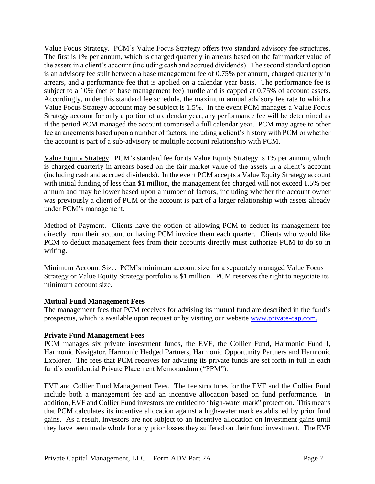Value Focus Strategy. PCM's Value Focus Strategy offers two standard advisory fee structures. The first is 1% per annum, which is charged quarterly in arrears based on the fair market value of the assets in a client's account (including cash and accrued dividends). The second standard option is an advisory fee split between a base management fee of 0.75% per annum, charged quarterly in arrears, and a performance fee that is applied on a calendar year basis. The performance fee is subject to a 10% (net of base management fee) hurdle and is capped at 0.75% of account assets. Accordingly, under this standard fee schedule, the maximum annual advisory fee rate to which a Value Focus Strategy account may be subject is 1.5%. In the event PCM manages a Value Focus Strategy account for only a portion of a calendar year, any performance fee will be determined as if the period PCM managed the account comprised a full calendar year. PCM may agree to other fee arrangements based upon a number of factors, including a client's history with PCM or whether the account is part of a sub-advisory or multiple account relationship with PCM.

Value Equity Strategy. PCM's standard fee for its Value Equity Strategy is 1% per annum, which is charged quarterly in arrears based on the fair market value of the assets in a client's account (including cash and accrued dividends). In the event PCM accepts a Value Equity Strategy account with initial funding of less than \$1 million, the management fee charged will not exceed 1.5% per annum and may be lower based upon a number of factors, including whether the account owner was previously a client of PCM or the account is part of a larger relationship with assets already under PCM's management.

Method of Payment. Clients have the option of allowing PCM to deduct its management fee directly from their account or having PCM invoice them each quarter. Clients who would like PCM to deduct management fees from their accounts directly must authorize PCM to do so in writing.

Minimum Account Size. PCM's minimum account size for a separately managed Value Focus Strategy or Value Equity Strategy portfolio is \$1 million. PCM reserves the right to negotiate its minimum account size.

## **Mutual Fund Management Fees**

The management fees that PCM receives for advising its mutual fund are described in the fund's prospectus, which is available upon request or by visiting our website [www.private-cap.com.](http://www.private-cap.com/)

#### **Private Fund Management Fees**

PCM manages six private investment funds, the EVF, the Collier Fund, Harmonic Fund I, Harmonic Navigator, Harmonic Hedged Partners, Harmonic Opportunity Partners and Harmonic Explorer. The fees that PCM receives for advising its private funds are set forth in full in each fund's confidential Private Placement Memorandum ("PPM").

EVF and Collier Fund Management Fees. The fee structures for the EVF and the Collier Fund include both a management fee and an incentive allocation based on fund performance. In addition, EVF and Collier Fund investors are entitled to "high-water mark" protection. This means that PCM calculates its incentive allocation against a high-water mark established by prior fund gains. As a result, investors are not subject to an incentive allocation on investment gains until they have been made whole for any prior losses they suffered on their fund investment. The EVF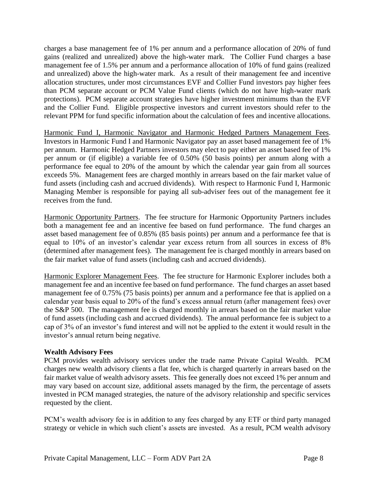charges a base management fee of 1% per annum and a performance allocation of 20% of fund gains (realized and unrealized) above the high-water mark. The Collier Fund charges a base management fee of 1.5% per annum and a performance allocation of 10% of fund gains (realized and unrealized) above the high-water mark. As a result of their management fee and incentive allocation structures, under most circumstances EVF and Collier Fund investors pay higher fees than PCM separate account or PCM Value Fund clients (which do not have high-water mark protections). PCM separate account strategies have higher investment minimums than the EVF and the Collier Fund. Eligible prospective investors and current investors should refer to the relevant PPM for fund specific information about the calculation of fees and incentive allocations.

Harmonic Fund I, Harmonic Navigator and Harmonic Hedged Partners Management Fees. Investors in Harmonic Fund I and Harmonic Navigator pay an asset based management fee of 1% per annum. Harmonic Hedged Partners investors may elect to pay either an asset based fee of 1% per annum or (if eligible) a variable fee of 0.50% (50 basis points) per annum along with a performance fee equal to 20% of the amount by which the calendar year gain from all sources exceeds 5%. Management fees are charged monthly in arrears based on the fair market value of fund assets (including cash and accrued dividends). With respect to Harmonic Fund I, Harmonic Managing Member is responsible for paying all sub-adviser fees out of the management fee it receives from the fund.

Harmonic Opportunity Partners. The fee structure for Harmonic Opportunity Partners includes both a management fee and an incentive fee based on fund performance. The fund charges an asset based management fee of 0.85% (85 basis points) per annum and a performance fee that is equal to 10% of an investor's calendar year excess return from all sources in excess of 8% (determined after management fees). The management fee is charged monthly in arrears based on the fair market value of fund assets (including cash and accrued dividends).

Harmonic Explorer Management Fees. The fee structure for Harmonic Explorer includes both a management fee and an incentive fee based on fund performance. The fund charges an asset based management fee of 0.75% (75 basis points) per annum and a performance fee that is applied on a calendar year basis equal to 20% of the fund's excess annual return (after management fees) over the S&P 500. The management fee is charged monthly in arrears based on the fair market value of fund assets (including cash and accrued dividends). The annual performance fee is subject to a cap of 3% of an investor's fund interest and will not be applied to the extent it would result in the investor's annual return being negative.

## **Wealth Advisory Fees**

PCM provides wealth advisory services under the trade name Private Capital Wealth. PCM charges new wealth advisory clients a flat fee, which is charged quarterly in arrears based on the fair market value of wealth advisory assets. This fee generally does not exceed 1% per annum and may vary based on account size, additional assets managed by the firm, the percentage of assets invested in PCM managed strategies, the nature of the advisory relationship and specific services requested by the client.

PCM's wealth advisory fee is in addition to any fees charged by any ETF or third party managed strategy or vehicle in which such client's assets are invested. As a result, PCM wealth advisory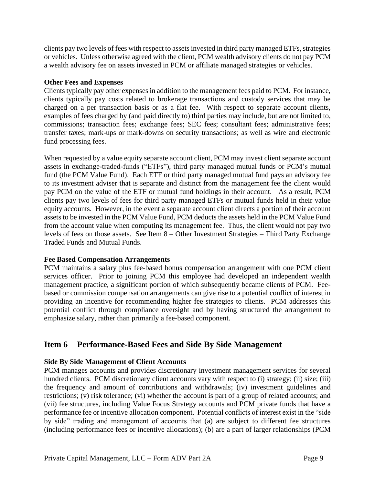clients pay two levels of fees with respect to assets invested in third party managed ETFs, strategies or vehicles. Unless otherwise agreed with the client, PCM wealth advisory clients do not pay PCM a wealth advisory fee on assets invested in PCM or affiliate managed strategies or vehicles.

#### **Other Fees and Expenses**

Clients typically pay other expenses in addition to the management fees paid to PCM. For instance, clients typically pay costs related to brokerage transactions and custody services that may be charged on a per transaction basis or as a flat fee. With respect to separate account clients, examples of fees charged by (and paid directly to) third parties may include, but are not limited to, commissions; transaction fees; exchange fees; SEC fees; consultant fees; administrative fees; transfer taxes; mark-ups or mark-downs on security transactions; as well as wire and electronic fund processing fees.

When requested by a value equity separate account client, PCM may invest client separate account assets in exchange-traded-funds ("ETFs"), third party managed mutual funds or PCM's mutual fund (the PCM Value Fund). Each ETF or third party managed mutual fund pays an advisory fee to its investment adviser that is separate and distinct from the management fee the client would pay PCM on the value of the ETF or mutual fund holdings in their account. As a result, PCM clients pay two levels of fees for third party managed ETFs or mutual funds held in their value equity accounts. However, in the event a separate account client directs a portion of their account assets to be invested in the PCM Value Fund, PCM deducts the assets held in the PCM Value Fund from the account value when computing its management fee. Thus, the client would not pay two levels of fees on those assets. See Item 8 – Other Investment Strategies – Third Party Exchange Traded Funds and Mutual Funds.

## **Fee Based Compensation Arrangements**

PCM maintains a salary plus fee-based bonus compensation arrangement with one PCM client services officer. Prior to joining PCM this employee had developed an independent wealth management practice, a significant portion of which subsequently became clients of PCM. Feebased or commission compensation arrangements can give rise to a potential conflict of interest in providing an incentive for recommending higher fee strategies to clients. PCM addresses this potential conflict through compliance oversight and by having structured the arrangement to emphasize salary, rather than primarily a fee-based component.

## **Item 6 Performance-Based Fees and Side By Side Management**

## **Side By Side Management of Client Accounts**

PCM manages accounts and provides discretionary investment management services for several hundred clients. PCM discretionary client accounts vary with respect to (i) strategy; (ii) size; (iii) the frequency and amount of contributions and withdrawals; (iv) investment guidelines and restrictions; (v) risk tolerance; (vi) whether the account is part of a group of related accounts; and (vii) fee structures, including Value Focus Strategy accounts and PCM private funds that have a performance fee or incentive allocation component. Potential conflicts of interest exist in the "side by side" trading and management of accounts that (a) are subject to different fee structures (including performance fees or incentive allocations); (b) are a part of larger relationships (PCM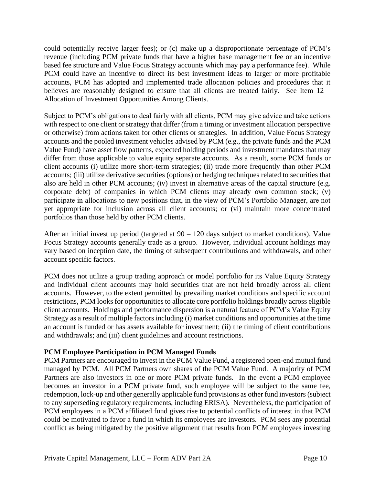could potentially receive larger fees); or (c) make up a disproportionate percentage of PCM's revenue (including PCM private funds that have a higher base management fee or an incentive based fee structure and Value Focus Strategy accounts which may pay a performance fee). While PCM could have an incentive to direct its best investment ideas to larger or more profitable accounts, PCM has adopted and implemented trade allocation policies and procedures that it believes are reasonably designed to ensure that all clients are treated fairly. See Item 12 – Allocation of Investment Opportunities Among Clients.

Subject to PCM's obligations to deal fairly with all clients, PCM may give advice and take actions with respect to one client or strategy that differ (from a timing or investment allocation perspective or otherwise) from actions taken for other clients or strategies. In addition, Value Focus Strategy accounts and the pooled investment vehicles advised by PCM (e.g., the private funds and the PCM Value Fund) have asset flow patterns, expected holding periods and investment mandates that may differ from those applicable to value equity separate accounts. As a result, some PCM funds or client accounts (i) utilize more short-term strategies; (ii) trade more frequently than other PCM accounts; (iii) utilize derivative securities (options) or hedging techniques related to securities that also are held in other PCM accounts; (iv) invest in alternative areas of the capital structure (e.g. corporate debt) of companies in which PCM clients may already own common stock; (v) participate in allocations to new positions that, in the view of PCM's Portfolio Manager, are not yet appropriate for inclusion across all client accounts; or (vi) maintain more concentrated portfolios than those held by other PCM clients.

After an initial invest up period (targeted at  $90 - 120$  days subject to market conditions), Value Focus Strategy accounts generally trade as a group. However, individual account holdings may vary based on inception date, the timing of subsequent contributions and withdrawals, and other account specific factors.

PCM does not utilize a group trading approach or model portfolio for its Value Equity Strategy and individual client accounts may hold securities that are not held broadly across all client accounts. However, to the extent permitted by prevailing market conditions and specific account restrictions, PCM looks for opportunities to allocate core portfolio holdings broadly across eligible client accounts. Holdings and performance dispersion is a natural feature of PCM's Value Equity Strategy as a result of multiple factors including (i) market conditions and opportunities at the time an account is funded or has assets available for investment; (ii) the timing of client contributions and withdrawals; and (iii) client guidelines and account restrictions.

#### **PCM Employee Participation in PCM Managed Funds**

PCM Partners are encouraged to invest in the PCM Value Fund, a registered open-end mutual fund managed by PCM. All PCM Partners own shares of the PCM Value Fund. A majority of PCM Partners are also investors in one or more PCM private funds. In the event a PCM employee becomes an investor in a PCM private fund, such employee will be subject to the same fee, redemption, lock-up and other generally applicable fund provisions as other fund investors (subject to any superseding regulatory requirements, including ERISA). Nevertheless, the participation of PCM employees in a PCM affiliated fund gives rise to potential conflicts of interest in that PCM could be motivated to favor a fund in which its employees are investors. PCM sees any potential conflict as being mitigated by the positive alignment that results from PCM employees investing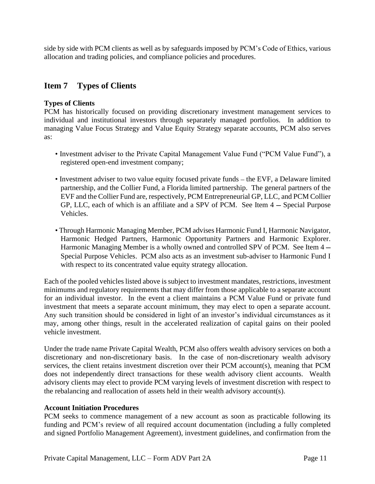side by side with PCM clients as well as by safeguards imposed by PCM's Code of Ethics, various allocation and trading policies, and compliance policies and procedures.

## **Item 7 Types of Clients**

### **Types of Clients**

PCM has historically focused on providing discretionary investment management services to individual and institutional investors through separately managed portfolios. In addition to managing Value Focus Strategy and Value Equity Strategy separate accounts, PCM also serves as:

- Investment adviser to the Private Capital Management Value Fund ("PCM Value Fund"), a registered open-end investment company;
- Investment adviser to two value equity focused private funds the EVF, a Delaware limited partnership, and the Collier Fund, a Florida limited partnership. The general partners of the EVF and the Collier Fund are, respectively, PCM Entrepreneurial GP, LLC, and PCM Collier GP, LLC, each of which is an affiliate and a SPV of PCM. See Item 4 — Special Purpose Vehicles.
- Through Harmonic Managing Member, PCM advises Harmonic Fund I, Harmonic Navigator, Harmonic Hedged Partners, Harmonic Opportunity Partners and Harmonic Explorer. Harmonic Managing Member is a wholly owned and controlled SPV of PCM. See Item 4 — Special Purpose Vehicles. PCM also acts as an investment sub-adviser to Harmonic Fund I with respect to its concentrated value equity strategy allocation.

Each of the pooled vehicles listed above is subject to investment mandates, restrictions, investment minimums and regulatory requirements that may differ from those applicable to a separate account for an individual investor. In the event a client maintains a PCM Value Fund or private fund investment that meets a separate account minimum, they may elect to open a separate account. Any such transition should be considered in light of an investor's individual circumstances as it may, among other things, result in the accelerated realization of capital gains on their pooled vehicle investment.

Under the trade name Private Capital Wealth, PCM also offers wealth advisory services on both a discretionary and non-discretionary basis. In the case of non-discretionary wealth advisory services, the client retains investment discretion over their PCM account(s), meaning that PCM does not independently direct transactions for these wealth advisory client accounts. Wealth advisory clients may elect to provide PCM varying levels of investment discretion with respect to the rebalancing and reallocation of assets held in their wealth advisory account(s).

#### **Account Initiation Procedures**

PCM seeks to commence management of a new account as soon as practicable following its funding and PCM's review of all required account documentation (including a fully completed and signed Portfolio Management Agreement), investment guidelines, and confirmation from the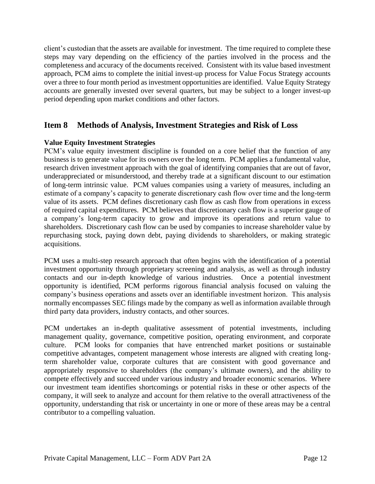client's custodian that the assets are available for investment. The time required to complete these steps may vary depending on the efficiency of the parties involved in the process and the completeness and accuracy of the documents received. Consistent with its value based investment approach, PCM aims to complete the initial invest-up process for Value Focus Strategy accounts over a three to four month period as investment opportunities are identified. Value Equity Strategy accounts are generally invested over several quarters, but may be subject to a longer invest-up period depending upon market conditions and other factors.

## **Item 8 Methods of Analysis, Investment Strategies and Risk of Loss**

### **Value Equity Investment Strategies**

PCM's value equity investment discipline is founded on a core belief that the function of any business is to generate value for its owners over the long term. PCM applies a fundamental value, research driven investment approach with the goal of identifying companies that are out of favor, underappreciated or misunderstood, and thereby trade at a significant discount to our estimation of long-term intrinsic value. PCM values companies using a variety of measures, including an estimate of a company's capacity to generate discretionary cash flow over time and the long-term value of its assets. PCM defines discretionary cash flow as cash flow from operations in excess of required capital expenditures. PCM believes that discretionary cash flow is a superior gauge of a company's long-term capacity to grow and improve its operations and return value to shareholders. Discretionary cash flow can be used by companies to increase shareholder value by repurchasing stock, paying down debt, paying dividends to shareholders, or making strategic acquisitions.

PCM uses a multi-step research approach that often begins with the identification of a potential investment opportunity through proprietary screening and analysis, as well as through industry contacts and our in-depth knowledge of various industries. Once a potential investment opportunity is identified, PCM performs rigorous financial analysis focused on valuing the company's business operations and assets over an identifiable investment horizon. This analysis normally encompasses SEC filings made by the company as well as information available through third party data providers, industry contacts, and other sources.

PCM undertakes an in-depth qualitative assessment of potential investments, including management quality, governance, competitive position, operating environment, and corporate culture. PCM looks for companies that have entrenched market positions or sustainable competitive advantages, competent management whose interests are aligned with creating longterm shareholder value, corporate cultures that are consistent with good governance and appropriately responsive to shareholders (the company's ultimate owners), and the ability to compete effectively and succeed under various industry and broader economic scenarios. Where our investment team identifies shortcomings or potential risks in these or other aspects of the company, it will seek to analyze and account for them relative to the overall attractiveness of the opportunity, understanding that risk or uncertainty in one or more of these areas may be a central contributor to a compelling valuation.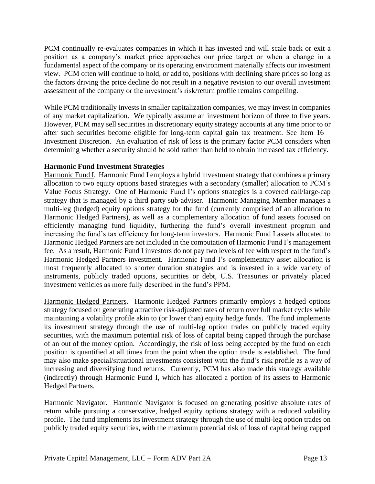PCM continually re-evaluates companies in which it has invested and will scale back or exit a position as a company's market price approaches our price target or when a change in a fundamental aspect of the company or its operating environment materially affects our investment view. PCM often will continue to hold, or add to, positions with declining share prices so long as the factors driving the price decline do not result in a negative revision to our overall investment assessment of the company or the investment's risk/return profile remains compelling.

While PCM traditionally invests in smaller capitalization companies, we may invest in companies of any market capitalization. We typically assume an investment horizon of three to five years. However, PCM may sell securities in discretionary equity strategy accounts at any time prior to or after such securities become eligible for long-term capital gain tax treatment. See Item 16 – Investment Discretion. An evaluation of risk of loss is the primary factor PCM considers when determining whether a security should be sold rather than held to obtain increased tax efficiency.

### **Harmonic Fund Investment Strategies**

Harmonic Fund I. Harmonic Fund I employs a hybrid investment strategy that combines a primary allocation to two equity options based strategies with a secondary (smaller) allocation to PCM's Value Focus Strategy. One of Harmonic Fund I's options strategies is a covered call/large-cap strategy that is managed by a third party sub-adviser. Harmonic Managing Member manages a multi-leg (hedged) equity options strategy for the fund (currently comprised of an allocation to Harmonic Hedged Partners), as well as a complementary allocation of fund assets focused on efficiently managing fund liquidity, furthering the fund's overall investment program and increasing the fund's tax efficiency for long-term investors. Harmonic Fund I assets allocated to Harmonic Hedged Partners are not included in the computation of Harmonic Fund I's management fee. As a result, Harmonic Fund I investors do not pay two levels of fee with respect to the fund's Harmonic Hedged Partners investment. Harmonic Fund I's complementary asset allocation is most frequently allocated to shorter duration strategies and is invested in a wide variety of instruments, publicly traded options, securities or debt, U.S. Treasuries or privately placed investment vehicles as more fully described in the fund's PPM.

Harmonic Hedged Partners. Harmonic Hedged Partners primarily employs a hedged options strategy focused on generating attractive risk-adjusted rates of return over full market cycles while maintaining a volatility profile akin to (or lower than) equity hedge funds. The fund implements its investment strategy through the use of multi-leg option trades on publicly traded equity securities, with the maximum potential risk of loss of capital being capped through the purchase of an out of the money option. Accordingly, the risk of loss being accepted by the fund on each position is quantified at all times from the point when the option trade is established. The fund may also make special/situational investments consistent with the fund's risk profile as a way of increasing and diversifying fund returns. Currently, PCM has also made this strategy available (indirectly) through Harmonic Fund I, which has allocated a portion of its assets to Harmonic Hedged Partners.

Harmonic Navigator. Harmonic Navigator is focused on generating positive absolute rates of return while pursuing a conservative, hedged equity options strategy with a reduced volatility profile. The fund implements its investment strategy through the use of multi-leg option trades on publicly traded equity securities, with the maximum potential risk of loss of capital being capped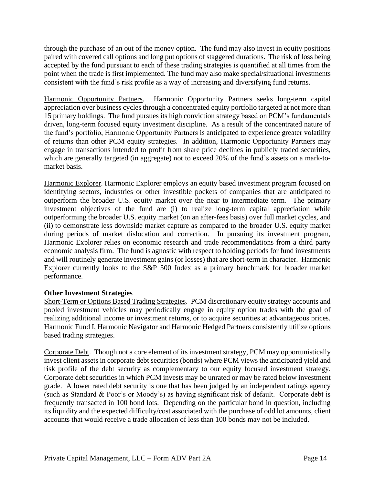through the purchase of an out of the money option. The fund may also invest in equity positions paired with covered call options and long put options of staggered durations. The risk of loss being accepted by the fund pursuant to each of these trading strategies is quantified at all times from the point when the trade is first implemented. The fund may also make special/situational investments consistent with the fund's risk profile as a way of increasing and diversifying fund returns.

Harmonic Opportunity Partners. Harmonic Opportunity Partners seeks long-term capital appreciation over business cycles through a concentrated equity portfolio targeted at not more than 15 primary holdings. The fund pursues its high conviction strategy based on PCM's fundamentals driven, long-term focused equity investment discipline. As a result of the concentrated nature of the fund's portfolio, Harmonic Opportunity Partners is anticipated to experience greater volatility of returns than other PCM equity strategies. In addition, Harmonic Opportunity Partners may engage in transactions intended to profit from share price declines in publicly traded securities, which are generally targeted (in aggregate) not to exceed 20% of the fund's assets on a mark-tomarket basis.

Harmonic Explorer. Harmonic Explorer employs an equity based investment program focused on identifying sectors, industries or other investible pockets of companies that are anticipated to outperform the broader U.S. equity market over the near to intermediate term. The primary investment objectives of the fund are (i) to realize long-term capital appreciation while outperforming the broader U.S. equity market (on an after-fees basis) over full market cycles, and (ii) to demonstrate less downside market capture as compared to the broader U.S. equity market during periods of market dislocation and correction. In pursuing its investment program, Harmonic Explorer relies on economic research and trade recommendations from a third party economic analysis firm. The fund is agnostic with respect to holding periods for fund investments and will routinely generate investment gains (or losses) that are short-term in character. Harmonic Explorer currently looks to the S&P 500 Index as a primary benchmark for broader market performance.

#### **Other Investment Strategies**

Short-Term or Options Based Trading Strategies. PCM discretionary equity strategy accounts and pooled investment vehicles may periodically engage in equity option trades with the goal of realizing additional income or investment returns, or to acquire securities at advantageous prices. Harmonic Fund I, Harmonic Navigator and Harmonic Hedged Partners consistently utilize options based trading strategies.

Corporate Debt. Though not a core element of its investment strategy, PCM may opportunistically invest client assets in corporate debt securities (bonds) where PCM views the anticipated yield and risk profile of the debt security as complementary to our equity focused investment strategy. Corporate debt securities in which PCM invests may be unrated or may be rated below investment grade. A lower rated debt security is one that has been judged by an independent ratings agency (such as Standard & Poor's or Moody's) as having significant risk of default. Corporate debt is frequently transacted in 100 bond lots. Depending on the particular bond in question, including its liquidity and the expected difficulty/cost associated with the purchase of odd lot amounts, client accounts that would receive a trade allocation of less than 100 bonds may not be included.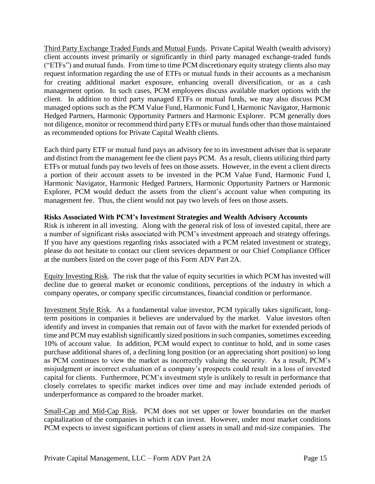Third Party Exchange Traded Funds and Mutual Funds. Private Capital Wealth (wealth advisory) client accounts invest primarily or significantly in third party managed exchange-traded funds ("ETFs") and mutual funds. From time to time PCM discretionary equity strategy clients also may request information regarding the use of ETFs or mutual funds in their accounts as a mechanism for creating additional market exposure, enhancing overall diversification, or as a cash management option. In such cases, PCM employees discuss available market options with the client. In addition to third party managed ETFs or mutual funds, we may also discuss PCM managed options such as the PCM Value Fund, Harmonic Fund I, Harmonic Navigator, Harmonic Hedged Partners, Harmonic Opportunity Partners and Harmonic Explorer. PCM generally does not diligence, monitor or recommend third party ETFs or mutual funds other than those maintained as recommended options for Private Capital Wealth clients.

Each third party ETF or mutual fund pays an advisory fee to its investment adviser that is separate and distinct from the management fee the client pays PCM. As a result, clients utilizing third party ETFs or mutual funds pay two levels of fees on those assets. However, in the event a client directs a portion of their account assets to be invested in the PCM Value Fund, Harmonic Fund I, Harmonic Navigator, Harmonic Hedged Partners, Harmonic Opportunity Partners or Harmonic Explorer, PCM would deduct the assets from the client's account value when computing its management fee. Thus, the client would not pay two levels of fees on those assets.

### **Risks Associated With PCM's Investment Strategies and Wealth Advisory Accounts**

Risk is inherent in all investing. Along with the general risk of loss of invested capital, there are a number of significant risks associated with PCM's investment approach and strategy offerings. If you have any questions regarding risks associated with a PCM related investment or strategy, please do not hesitate to contact our client services department or our Chief Compliance Officer at the numbers listed on the cover page of this Form ADV Part 2A.

Equity Investing Risk. The risk that the value of equity securities in which PCM has invested will decline due to general market or economic conditions, perceptions of the industry in which a company operates, or company specific circumstances, financial condition or performance.

Investment Style Risk. As a fundamental value investor, PCM typically takes significant, longterm positions in companies it believes are undervalued by the market. Value investors often identify and invest in companies that remain out of favor with the market for extended periods of time and PCM may establish significantly sized positions in such companies, sometimes exceeding 10% of account value. In addition, PCM would expect to continue to hold, and in some cases purchase additional shares of, a declining long position (or an appreciating short position) so long as PCM continues to view the market as incorrectly valuing the security. As a result, PCM's misjudgment or incorrect evaluation of a company's prospects could result in a loss of invested capital for clients. Furthermore, PCM's investment style is unlikely to result in performance that closely correlates to specific market indices over time and may include extended periods of underperformance as compared to the broader market.

Small-Cap and Mid-Cap Risk. PCM does not set upper or lower boundaries on the market capitalization of the companies in which it can invest. However, under most market conditions PCM expects to invest significant portions of client assets in small and mid-size companies. The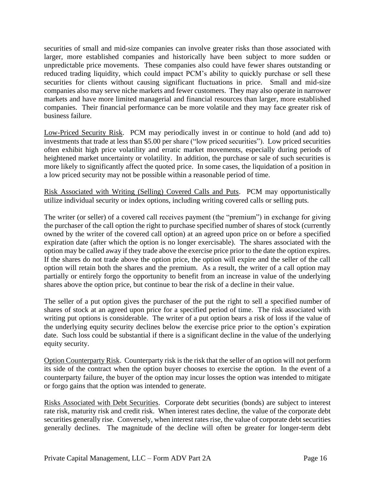securities of small and mid-size companies can involve greater risks than those associated with larger, more established companies and historically have been subject to more sudden or unpredictable price movements. These companies also could have fewer shares outstanding or reduced trading liquidity, which could impact PCM's ability to quickly purchase or sell these securities for clients without causing significant fluctuations in price. Small and mid-size companies also may serve niche markets and fewer customers. They may also operate in narrower markets and have more limited managerial and financial resources than larger, more established companies. Their financial performance can be more volatile and they may face greater risk of business failure.

Low-Priced Security Risk. PCM may periodically invest in or continue to hold (and add to) investments that trade at less than \$5.00 per share ("low priced securities"). Low priced securities often exhibit high price volatility and erratic market movements, especially during periods of heightened market uncertainty or volatility. In addition, the purchase or sale of such securities is more likely to significantly affect the quoted price. In some cases, the liquidation of a position in a low priced security may not be possible within a reasonable period of time.

Risk Associated with Writing (Selling) Covered Calls and Puts. PCM may opportunistically utilize individual security or index options, including writing covered calls or selling puts.

The writer (or seller) of a covered call receives payment (the "premium") in exchange for giving the purchaser of the call option the right to purchase specified number of shares of stock (currently owned by the writer of the covered call option) at an agreed upon price on or before a specified expiration date (after which the option is no longer exercisable). The shares associated with the option may be called away if they trade above the exercise price prior to the date the option expires. If the shares do not trade above the option price, the option will expire and the seller of the call option will retain both the shares and the premium. As a result, the writer of a call option may partially or entirely forgo the opportunity to benefit from an increase in value of the underlying shares above the option price, but continue to bear the risk of a decline in their value.

The seller of a put option gives the purchaser of the put the right to sell a specified number of shares of stock at an agreed upon price for a specified period of time. The risk associated with writing put options is considerable. The writer of a put option bears a risk of loss if the value of the underlying equity security declines below the exercise price prior to the option's expiration date. Such loss could be substantial if there is a significant decline in the value of the underlying equity security.

Option Counterparty Risk. Counterparty risk is the risk that the seller of an option will not perform its side of the contract when the option buyer chooses to exercise the option. In the event of a counterparty failure, the buyer of the option may incur losses the option was intended to mitigate or forgo gains that the option was intended to generate.

Risks Associated with Debt Securities. Corporate debt securities (bonds) are subject to interest rate risk, maturity risk and credit risk. When interest rates decline, the value of the corporate debt securities generally rise. Conversely, when interest rates rise, the value of corporate debt securities generally declines. The magnitude of the decline will often be greater for longer-term debt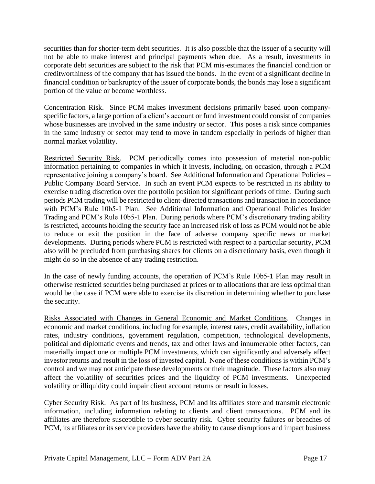securities than for shorter-term debt securities. It is also possible that the issuer of a security will not be able to make interest and principal payments when due. As a result, investments in corporate debt securities are subject to the risk that PCM mis-estimates the financial condition or creditworthiness of the company that has issued the bonds. In the event of a significant decline in financial condition or bankruptcy of the issuer of corporate bonds, the bonds may lose a significant portion of the value or become worthless.

Concentration Risk. Since PCM makes investment decisions primarily based upon companyspecific factors, a large portion of a client's account or fund investment could consist of companies whose businesses are involved in the same industry or sector. This poses a risk since companies in the same industry or sector may tend to move in tandem especially in periods of higher than normal market volatility.

Restricted Security Risk. PCM periodically comes into possession of material non-public information pertaining to companies in which it invests, including, on occasion, through a PCM representative joining a company's board. See Additional Information and Operational Policies – Public Company Board Service. In such an event PCM expects to be restricted in its ability to exercise trading discretion over the portfolio position for significant periods of time. During such periods PCM trading will be restricted to client-directed transactions and transaction in accordance with PCM's Rule 10b5-1 Plan. See Additional Information and Operational Policies Insider Trading and PCM's Rule 10b5-1 Plan. During periods where PCM's discretionary trading ability is restricted, accounts holding the security face an increased risk of loss as PCM would not be able to reduce or exit the position in the face of adverse company specific news or market developments. During periods where PCM is restricted with respect to a particular security, PCM also will be precluded from purchasing shares for clients on a discretionary basis, even though it might do so in the absence of any trading restriction.

In the case of newly funding accounts, the operation of PCM's Rule 10b5-1 Plan may result in otherwise restricted securities being purchased at prices or to allocations that are less optimal than would be the case if PCM were able to exercise its discretion in determining whether to purchase the security.

Risks Associated with Changes in General Economic and Market Conditions. Changes in economic and market conditions, including for example, interest rates, credit availability, inflation rates, industry conditions, government regulation, competition, technological developments, political and diplomatic events and trends, tax and other laws and innumerable other factors, can materially impact one or multiple PCM investments, which can significantly and adversely affect investor returns and result in the loss of invested capital. None of these conditions is within PCM's control and we may not anticipate these developments or their magnitude. These factors also may affect the volatility of securities prices and the liquidity of PCM investments. Unexpected volatility or illiquidity could impair client account returns or result in losses.

Cyber Security Risk. As part of its business, PCM and its affiliates store and transmit electronic information, including information relating to clients and client transactions. PCM and its affiliates are therefore susceptible to cyber security risk. Cyber security failures or breaches of PCM, its affiliates or its service providers have the ability to cause disruptions and impact business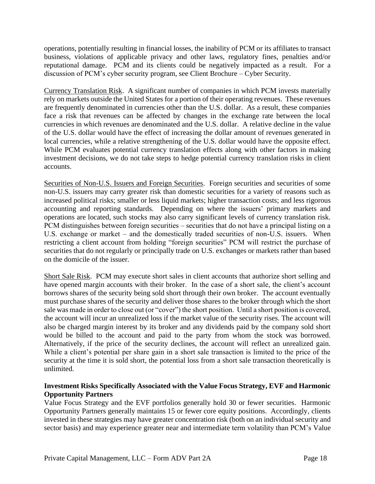operations, potentially resulting in financial losses, the inability of PCM or its affiliates to transact business, violations of applicable privacy and other laws, regulatory fines, penalties and/or reputational damage. PCM and its clients could be negatively impacted as a result. For a discussion of PCM's cyber security program, see Client Brochure – Cyber Security.

Currency Translation Risk. A significant number of companies in which PCM invests materially rely on markets outside the United States for a portion of their operating revenues. These revenues are frequently denominated in currencies other than the U.S. dollar. As a result, these companies face a risk that revenues can be affected by changes in the exchange rate between the local currencies in which revenues are denominated and the U.S. dollar. A relative decline in the value of the U.S. dollar would have the effect of increasing the dollar amount of revenues generated in local currencies, while a relative strengthening of the U.S. dollar would have the opposite effect. While PCM evaluates potential currency translation effects along with other factors in making investment decisions, we do not take steps to hedge potential currency translation risks in client accounts.

Securities of Non-U.S. Issuers and Foreign Securities. Foreign securities and securities of some non-U.S. issuers may carry greater risk than domestic securities for a variety of reasons such as increased political risks; smaller or less liquid markets; higher transaction costs; and less rigorous accounting and reporting standards. Depending on where the issuers' primary markets and operations are located, such stocks may also carry significant levels of currency translation risk. PCM distinguishes between foreign securities – securities that do not have a principal listing on a U.S. exchange or market – and the domestically traded securities of non-U.S. issuers. When restricting a client account from holding "foreign securities" PCM will restrict the purchase of securities that do not regularly or principally trade on U.S. exchanges or markets rather than based on the domicile of the issuer.

Short Sale Risk. PCM may execute short sales in client accounts that authorize short selling and have opened margin accounts with their broker. In the case of a short sale, the client's account borrows shares of the security being sold short through their own broker. The account eventually must purchase shares of the security and deliver those shares to the broker through which the short sale was made in order to close out (or "cover") the short position. Until a short position is covered, the account will incur an unrealized loss if the market value of the security rises. The account will also be charged margin interest by its broker and any dividends paid by the company sold short would be billed to the account and paid to the party from whom the stock was borrowed. Alternatively, if the price of the security declines, the account will reflect an unrealized gain. While a client's potential per share gain in a short sale transaction is limited to the price of the security at the time it is sold short, the potential loss from a short sale transaction theoretically is unlimited.

## **Investment Risks Specifically Associated with the Value Focus Strategy, EVF and Harmonic Opportunity Partners**

Value Focus Strategy and the EVF portfolios generally hold 30 or fewer securities. Harmonic Opportunity Partners generally maintains 15 or fewer core equity positions. Accordingly, clients invested in these strategies may have greater concentration risk (both on an individual security and sector basis) and may experience greater near and intermediate term volatility than PCM's Value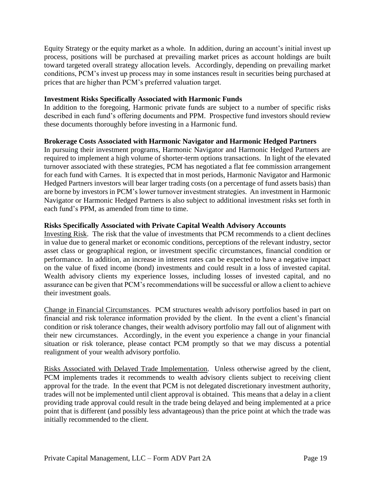Equity Strategy or the equity market as a whole. In addition, during an account's initial invest up process, positions will be purchased at prevailing market prices as account holdings are built toward targeted overall strategy allocation levels. Accordingly, depending on prevailing market conditions, PCM's invest up process may in some instances result in securities being purchased at prices that are higher than PCM's preferred valuation target.

### **Investment Risks Specifically Associated with Harmonic Funds**

In addition to the foregoing, Harmonic private funds are subject to a number of specific risks described in each fund's offering documents and PPM. Prospective fund investors should review these documents thoroughly before investing in a Harmonic fund.

### **Brokerage Costs Associated with Harmonic Navigator and Harmonic Hedged Partners**

In pursuing their investment programs, Harmonic Navigator and Harmonic Hedged Partners are required to implement a high volume of shorter-term options transactions. In light of the elevated turnover associated with these strategies, PCM has negotiated a flat fee commission arrangement for each fund with Carnes. It is expected that in most periods, Harmonic Navigator and Harmonic Hedged Partners investors will bear larger trading costs (on a percentage of fund assets basis) than are borne by investors in PCM's lower turnover investment strategies. An investment in Harmonic Navigator or Harmonic Hedged Partners is also subject to additional investment risks set forth in each fund's PPM, as amended from time to time.

### **Risks Specifically Associated with Private Capital Wealth Advisory Accounts**

Investing Risk. The risk that the value of investments that PCM recommends to a client declines in value due to general market or economic conditions, perceptions of the relevant industry, sector asset class or geographical region, or investment specific circumstances, financial condition or performance. In addition, an increase in interest rates can be expected to have a negative impact on the value of fixed income (bond) investments and could result in a loss of invested capital. Wealth advisory clients my experience losses, including losses of invested capital, and no assurance can be given that PCM's recommendations will be successful or allow a client to achieve their investment goals.

Change in Financial Circumstances. PCM structures wealth advisory portfolios based in part on financial and risk tolerance information provided by the client. In the event a client's financial condition or risk tolerance changes, their wealth advisory portfolio may fall out of alignment with their new circumstances. Accordingly, in the event you experience a change in your financial situation or risk tolerance, please contact PCM promptly so that we may discuss a potential realignment of your wealth advisory portfolio.

Risks Associated with Delayed Trade Implementation. Unless otherwise agreed by the client, PCM implements trades it recommends to wealth advisory clients subject to receiving client approval for the trade. In the event that PCM is not delegated discretionary investment authority, trades will not be implemented until client approval is obtained. This means that a delay in a client providing trade approval could result in the trade being delayed and being implemented at a price point that is different (and possibly less advantageous) than the price point at which the trade was initially recommended to the client.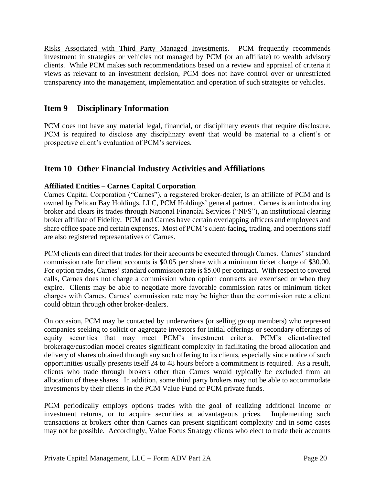Risks Associated with Third Party Managed Investments. PCM frequently recommends investment in strategies or vehicles not managed by PCM (or an affiliate) to wealth advisory clients. While PCM makes such recommendations based on a review and appraisal of criteria it views as relevant to an investment decision, PCM does not have control over or unrestricted transparency into the management, implementation and operation of such strategies or vehicles.

## **Item 9 Disciplinary Information**

PCM does not have any material legal, financial, or disciplinary events that require disclosure. PCM is required to disclose any disciplinary event that would be material to a client's or prospective client's evaluation of PCM's services.

## **Item 10 Other Financial Industry Activities and Affiliations**

## **Affiliated Entities – Carnes Capital Corporation**

Carnes Capital Corporation ("Carnes"), a registered broker-dealer, is an affiliate of PCM and is owned by Pelican Bay Holdings, LLC, PCM Holdings' general partner. Carnes is an introducing broker and clears its trades through National Financial Services ("NFS"), an institutional clearing broker affiliate of Fidelity. PCM and Carnes have certain overlapping officers and employees and share office space and certain expenses. Most of PCM's client-facing, trading, and operations staff are also registered representatives of Carnes.

PCM clients can direct that trades for their accounts be executed through Carnes. Carnes' standard commission rate for client accounts is \$0.05 per share with a minimum ticket charge of \$30.00. For option trades, Carnes' standard commission rate is \$5.00 per contract. With respect to covered calls, Carnes does not charge a commission when option contracts are exercised or when they expire. Clients may be able to negotiate more favorable commission rates or minimum ticket charges with Carnes. Carnes' commission rate may be higher than the commission rate a client could obtain through other broker-dealers.

On occasion, PCM may be contacted by underwriters (or selling group members) who represent companies seeking to solicit or aggregate investors for initial offerings or secondary offerings of equity securities that may meet PCM's investment criteria. PCM's client-directed brokerage/custodian model creates significant complexity in facilitating the broad allocation and delivery of shares obtained through any such offering to its clients, especially since notice of such opportunities usually presents itself 24 to 48 hours before a commitment is required. As a result, clients who trade through brokers other than Carnes would typically be excluded from an allocation of these shares. In addition, some third party brokers may not be able to accommodate investments by their clients in the PCM Value Fund or PCM private funds.

PCM periodically employs options trades with the goal of realizing additional income or investment returns, or to acquire securities at advantageous prices. Implementing such transactions at brokers other than Carnes can present significant complexity and in some cases may not be possible. Accordingly, Value Focus Strategy clients who elect to trade their accounts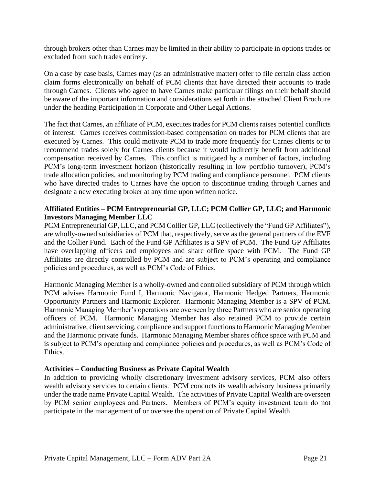through brokers other than Carnes may be limited in their ability to participate in options trades or excluded from such trades entirely.

On a case by case basis, Carnes may (as an administrative matter) offer to file certain class action claim forms electronically on behalf of PCM clients that have directed their accounts to trade through Carnes. Clients who agree to have Carnes make particular filings on their behalf should be aware of the important information and considerations set forth in the attached Client Brochure under the heading Participation in Corporate and Other Legal Actions.

The fact that Carnes, an affiliate of PCM, executes trades for PCM clients raises potential conflicts of interest. Carnes receives commission-based compensation on trades for PCM clients that are executed by Carnes. This could motivate PCM to trade more frequently for Carnes clients or to recommend trades solely for Carnes clients because it would indirectly benefit from additional compensation received by Carnes. This conflict is mitigated by a number of factors, including PCM's long-term investment horizon (historically resulting in low portfolio turnover), PCM's trade allocation policies, and monitoring by PCM trading and compliance personnel. PCM clients who have directed trades to Carnes have the option to discontinue trading through Carnes and designate a new executing broker at any time upon written notice.

### **Affiliated Entities – PCM Entrepreneurial GP, LLC; PCM Collier GP, LLC; and Harmonic Investors Managing Member LLC**

PCM Entrepreneurial GP, LLC, and PCM Collier GP, LLC (collectively the "Fund GP Affiliates"), are wholly-owned subsidiaries of PCM that, respectively, serve as the general partners of the EVF and the Collier Fund. Each of the Fund GP Affiliates is a SPV of PCM. The Fund GP Affiliates have overlapping officers and employees and share office space with PCM. The Fund GP Affiliates are directly controlled by PCM and are subject to PCM's operating and compliance policies and procedures, as well as PCM's Code of Ethics.

Harmonic Managing Member is a wholly-owned and controlled subsidiary of PCM through which PCM advises Harmonic Fund I, Harmonic Navigator, Harmonic Hedged Partners, Harmonic Opportunity Partners and Harmonic Explorer. Harmonic Managing Member is a SPV of PCM. Harmonic Managing Member's operations are overseen by three Partners who are senior operating officers of PCM. Harmonic Managing Member has also retained PCM to provide certain administrative, client servicing, compliance and support functions to Harmonic Managing Member and the Harmonic private funds. Harmonic Managing Member shares office space with PCM and is subject to PCM's operating and compliance policies and procedures, as well as PCM's Code of Ethics.

## **Activities – Conducting Business as Private Capital Wealth**

In addition to providing wholly discretionary investment advisory services, PCM also offers wealth advisory services to certain clients. PCM conducts its wealth advisory business primarily under the trade name Private Capital Wealth. The activities of Private Capital Wealth are overseen by PCM senior employees and Partners. Members of PCM's equity investment team do not participate in the management of or oversee the operation of Private Capital Wealth.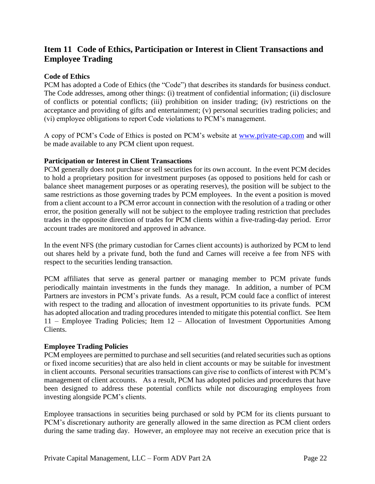## **Item 11 Code of Ethics, Participation or Interest in Client Transactions and Employee Trading**

### **Code of Ethics**

PCM has adopted a Code of Ethics (the "Code") that describes its standards for business conduct. The Code addresses, among other things: (i) treatment of confidential information; (ii) disclosure of conflicts or potential conflicts; (iii) prohibition on insider trading; (iv) restrictions on the acceptance and providing of gifts and entertainment; (v) personal securities trading policies; and (vi) employee obligations to report Code violations to PCM's management.

A copy of PCM's Code of Ethics is posted on PCM's website at www.private-cap.com and will be made available to any PCM client upon request.

#### **Participation or Interest in Client Transactions**

PCM generally does not purchase or sell securities for its own account. In the event PCM decides to hold a proprietary position for investment purposes (as opposed to positions held for cash or balance sheet management purposes or as operating reserves), the position will be subject to the same restrictions as those governing trades by PCM employees. In the event a position is moved from a client account to a PCM error account in connection with the resolution of a trading or other error, the position generally will not be subject to the employee trading restriction that precludes trades in the opposite direction of trades for PCM clients within a five-trading-day period. Error account trades are monitored and approved in advance.

In the event NFS (the primary custodian for Carnes client accounts) is authorized by PCM to lend out shares held by a private fund, both the fund and Carnes will receive a fee from NFS with respect to the securities lending transaction.

PCM affiliates that serve as general partner or managing member to PCM private funds periodically maintain investments in the funds they manage. In addition, a number of PCM Partners are investors in PCM's private funds. As a result, PCM could face a conflict of interest with respect to the trading and allocation of investment opportunities to its private funds. PCM has adopted allocation and trading procedures intended to mitigate this potential conflict. See Item 11 – Employee Trading Policies; Item 12 – Allocation of Investment Opportunities Among Clients.

#### **Employee Trading Policies**

PCM employees are permitted to purchase and sell securities (and related securities such as options or fixed income securities) that are also held in client accounts or may be suitable for investment in client accounts. Personal securities transactions can give rise to conflicts of interest with PCM's management of client accounts. As a result, PCM has adopted policies and procedures that have been designed to address these potential conflicts while not discouraging employees from investing alongside PCM's clients.

Employee transactions in securities being purchased or sold by PCM for its clients pursuant to PCM's discretionary authority are generally allowed in the same direction as PCM client orders during the same trading day. However, an employee may not receive an execution price that is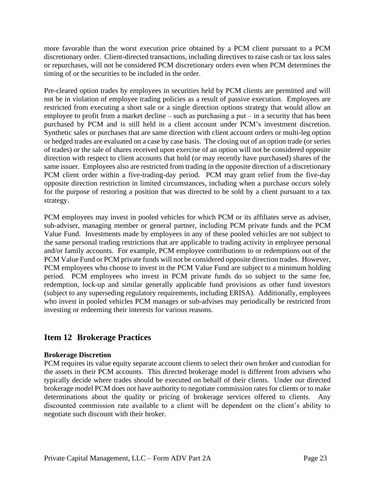more favorable than the worst execution price obtained by a PCM client pursuant to a PCM discretionary order. Client-directed transactions, including directives to raise cash or tax loss sales or repurchases, will not be considered PCM discretionary orders even when PCM determines the timing of or the securities to be included in the order.

Pre-cleared option trades by employees in securities held by PCM clients are permitted and will not be in violation of employee trading policies as a result of passive execution. Employees are restricted from executing a short sale or a single direction options strategy that would allow an employee to profit from a market decline  $-$  such as purchasing a put  $-$  in a security that has been purchased by PCM and is still held in a client account under PCM's investment discretion. Synthetic sales or purchases that are same direction with client account orders or multi-leg option or hedged trades are evaluated on a case by case basis. The closing out of an option trade (or series of trades) or the sale of shares received upon exercise of an option will not be considered opposite direction with respect to client accounts that hold (or may recently have purchased) shares of the same issuer. Employees also are restricted from trading in the opposite direction of a discretionary PCM client order within a five-trading-day period. PCM may grant relief from the five-day opposite direction restriction in limited circumstances, including when a purchase occurs solely for the purpose of restoring a position that was directed to be sold by a client pursuant to a tax strategy.

PCM employees may invest in pooled vehicles for which PCM or its affiliates serve as adviser, sub-adviser, managing member or general partner, including PCM private funds and the PCM Value Fund. Investments made by employees in any of these pooled vehicles are not subject to the same personal trading restrictions that are applicable to trading activity in employee personal and/or family accounts. For example, PCM employee contributions to or redemptions out of the PCM Value Fund or PCM private funds will not be considered opposite direction trades. However, PCM employees who choose to invest in the PCM Value Fund are subject to a minimum holding period. PCM employees who invest in PCM private funds do so subject to the same fee, redemption, lock-up and similar generally applicable fund provisions as other fund investors (subject to any superseding regulatory requirements, including ERISA). Additionally, employees who invest in pooled vehicles PCM manages or sub-advises may periodically be restricted from investing or redeeming their interests for various reasons.

## **Item 12 Brokerage Practices**

## **Brokerage Discretion**

PCM requires its value equity separate account clients to select their own broker and custodian for the assets in their PCM accounts. This directed brokerage model is different from advisers who typically decide where trades should be executed on behalf of their clients. Under our directed brokerage model PCM does not have authority to negotiate commission rates for clients or to make determinations about the quality or pricing of brokerage services offered to clients. Any discounted commission rate available to a client will be dependent on the client's ability to negotiate such discount with their broker.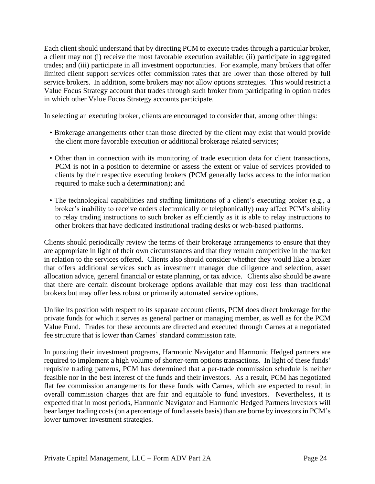Each client should understand that by directing PCM to execute trades through a particular broker, a client may not (i) receive the most favorable execution available; (ii) participate in aggregated trades; and (iii) participate in all investment opportunities. For example, many brokers that offer limited client support services offer commission rates that are lower than those offered by full service brokers. In addition, some brokers may not allow options strategies. This would restrict a Value Focus Strategy account that trades through such broker from participating in option trades in which other Value Focus Strategy accounts participate.

In selecting an executing broker, clients are encouraged to consider that, among other things:

- Brokerage arrangements other than those directed by the client may exist that would provide the client more favorable execution or additional brokerage related services;
- Other than in connection with its monitoring of trade execution data for client transactions, PCM is not in a position to determine or assess the extent or value of services provided to clients by their respective executing brokers (PCM generally lacks access to the information required to make such a determination); and
- The technological capabilities and staffing limitations of a client's executing broker (e.g., a broker's inability to receive orders electronically or telephonically) may affect PCM's ability to relay trading instructions to such broker as efficiently as it is able to relay instructions to other brokers that have dedicated institutional trading desks or web-based platforms.

Clients should periodically review the terms of their brokerage arrangements to ensure that they are appropriate in light of their own circumstances and that they remain competitive in the market in relation to the services offered. Clients also should consider whether they would like a broker that offers additional services such as investment manager due diligence and selection, asset allocation advice, general financial or estate planning, or tax advice. Clients also should be aware that there are certain discount brokerage options available that may cost less than traditional brokers but may offer less robust or primarily automated service options.

Unlike its position with respect to its separate account clients, PCM does direct brokerage for the private funds for which it serves as general partner or managing member, as well as for the PCM Value Fund. Trades for these accounts are directed and executed through Carnes at a negotiated fee structure that is lower than Carnes' standard commission rate.

In pursuing their investment programs, Harmonic Navigator and Harmonic Hedged partners are required to implement a high volume of shorter-term options transactions. In light of these funds' requisite trading patterns, PCM has determined that a per-trade commission schedule is neither feasible nor in the best interest of the funds and their investors. As a result, PCM has negotiated flat fee commission arrangements for these funds with Carnes, which are expected to result in overall commission charges that are fair and equitable to fund investors. Nevertheless, it is expected that in most periods, Harmonic Navigator and Harmonic Hedged Partners investors will bear larger trading costs (on a percentage of fund assets basis) than are borne by investors in PCM's lower turnover investment strategies.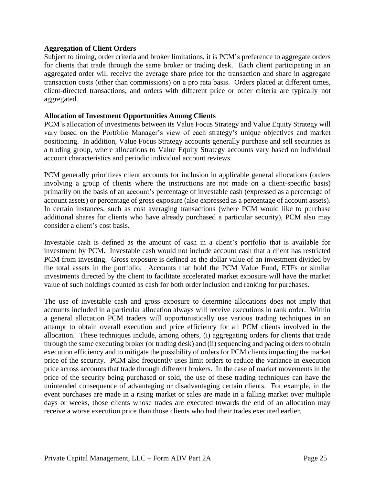#### **Aggregation of Client Orders**

Subject to timing, order criteria and broker limitations, it is PCM's preference to aggregate orders for clients that trade through the same broker or trading desk. Each client participating in an aggregated order will receive the average share price for the transaction and share in aggregate transaction costs (other than commissions) on a pro rata basis. Orders placed at different times, client-directed transactions, and orders with different price or other criteria are typically not aggregated.

#### **Allocation of Investment Opportunities Among Clients**

PCM's allocation of investments between its Value Focus Strategy and Value Equity Strategy will vary based on the Portfolio Manager's view of each strategy's unique objectives and market positioning. In addition, Value Focus Strategy accounts generally purchase and sell securities as a trading group, where allocations to Value Equity Strategy accounts vary based on individual account characteristics and periodic individual account reviews.

PCM generally prioritizes client accounts for inclusion in applicable general allocations (orders involving a group of clients where the instructions are not made on a client-specific basis) primarily on the basis of an account's percentage of investable cash (expressed as a percentage of account assets) or percentage of gross exposure (also expressed as a percentage of account assets). In certain instances, such as cost averaging transactions (where PCM would like to purchase additional shares for clients who have already purchased a particular security), PCM also may consider a client's cost basis.

Investable cash is defined as the amount of cash in a client's portfolio that is available for investment by PCM. Investable cash would not include account cash that a client has restricted PCM from investing. Gross exposure is defined as the dollar value of an investment divided by the total assets in the portfolio. Accounts that hold the PCM Value Fund, ETFs or similar investments directed by the client to facilitate accelerated market exposure will have the market value of such holdings counted as cash for both order inclusion and ranking for purchases.

The use of investable cash and gross exposure to determine allocations does not imply that accounts included in a particular allocation always will receive executions in rank order. Within a general allocation PCM traders will opportunistically use various trading techniques in an attempt to obtain overall execution and price efficiency for all PCM clients involved in the allocation. These techniques include, among others, (i) aggregating orders for clients that trade through the same executing broker (or trading desk) and (ii) sequencing and pacing orders to obtain execution efficiency and to mitigate the possibility of orders for PCM clients impacting the market price of the security. PCM also frequently uses limit orders to reduce the variance in execution price across accounts that trade through different brokers. In the case of market movements in the price of the security being purchased or sold, the use of these trading techniques can have the unintended consequence of advantaging or disadvantaging certain clients. For example, in the event purchases are made in a rising market or sales are made in a falling market over multiple days or weeks, those clients whose trades are executed towards the end of an allocation may receive a worse execution price than those clients who had their trades executed earlier.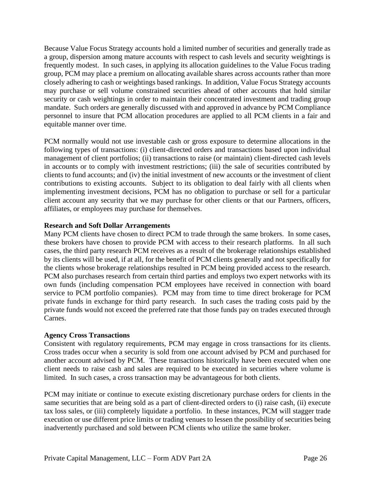Because Value Focus Strategy accounts hold a limited number of securities and generally trade as a group, dispersion among mature accounts with respect to cash levels and security weightings is frequently modest. In such cases, in applying its allocation guidelines to the Value Focus trading group, PCM may place a premium on allocating available shares across accounts rather than more closely adhering to cash or weightings based rankings. In addition, Value Focus Strategy accounts may purchase or sell volume constrained securities ahead of other accounts that hold similar security or cash weightings in order to maintain their concentrated investment and trading group mandate. Such orders are generally discussed with and approved in advance by PCM Compliance personnel to insure that PCM allocation procedures are applied to all PCM clients in a fair and equitable manner over time.

PCM normally would not use investable cash or gross exposure to determine allocations in the following types of transactions: (i) client-directed orders and transactions based upon individual management of client portfolios; (ii) transactions to raise (or maintain) client-directed cash levels in accounts or to comply with investment restrictions; (iii) the sale of securities contributed by clients to fund accounts; and (iv) the initial investment of new accounts or the investment of client contributions to existing accounts. Subject to its obligation to deal fairly with all clients when implementing investment decisions, PCM has no obligation to purchase or sell for a particular client account any security that we may purchase for other clients or that our Partners, officers, affiliates, or employees may purchase for themselves.

### **Research and Soft Dollar Arrangements**

Many PCM clients have chosen to direct PCM to trade through the same brokers. In some cases, these brokers have chosen to provide PCM with access to their research platforms. In all such cases, the third party research PCM receives as a result of the brokerage relationships established by its clients will be used, if at all, for the benefit of PCM clients generally and not specifically for the clients whose brokerage relationships resulted in PCM being provided access to the research. PCM also purchases research from certain third parties and employs two expert networks with its own funds (including compensation PCM employees have received in connection with board service to PCM portfolio companies). PCM may from time to time direct brokerage for PCM private funds in exchange for third party research. In such cases the trading costs paid by the private funds would not exceed the preferred rate that those funds pay on trades executed through Carnes.

#### **Agency Cross Transactions**

Consistent with regulatory requirements, PCM may engage in cross transactions for its clients. Cross trades occur when a security is sold from one account advised by PCM and purchased for another account advised by PCM. These transactions historically have been executed when one client needs to raise cash and sales are required to be executed in securities where volume is limited. In such cases, a cross transaction may be advantageous for both clients.

PCM may initiate or continue to execute existing discretionary purchase orders for clients in the same securities that are being sold as a part of client-directed orders to (i) raise cash, (ii) execute tax loss sales, or (iii) completely liquidate a portfolio. In these instances, PCM will stagger trade execution or use different price limits or trading venues to lessen the possibility of securities being inadvertently purchased and sold between PCM clients who utilize the same broker.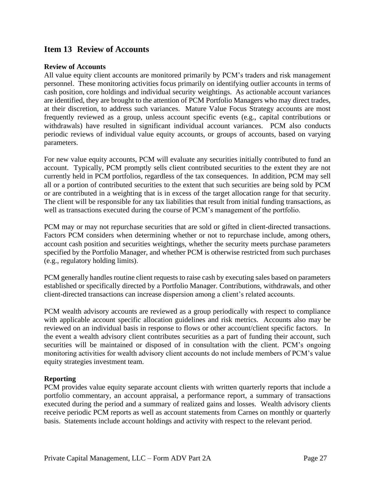## **Item 13 Review of Accounts**

#### **Review of Accounts**

All value equity client accounts are monitored primarily by PCM's traders and risk management personnel. These monitoring activities focus primarily on identifying outlier accounts in terms of cash position, core holdings and individual security weightings. As actionable account variances are identified, they are brought to the attention of PCM Portfolio Managers who may direct trades, at their discretion, to address such variances. Mature Value Focus Strategy accounts are most frequently reviewed as a group, unless account specific events (e.g., capital contributions or withdrawals) have resulted in significant individual account variances. PCM also conducts periodic reviews of individual value equity accounts, or groups of accounts, based on varying parameters.

For new value equity accounts, PCM will evaluate any securities initially contributed to fund an account. Typically, PCM promptly sells client contributed securities to the extent they are not currently held in PCM portfolios, regardless of the tax consequences. In addition, PCM may sell all or a portion of contributed securities to the extent that such securities are being sold by PCM or are contributed in a weighting that is in excess of the target allocation range for that security. The client will be responsible for any tax liabilities that result from initial funding transactions, as well as transactions executed during the course of PCM's management of the portfolio.

PCM may or may not repurchase securities that are sold or gifted in client-directed transactions. Factors PCM considers when determining whether or not to repurchase include, among others, account cash position and securities weightings, whether the security meets purchase parameters specified by the Portfolio Manager, and whether PCM is otherwise restricted from such purchases (e.g., regulatory holding limits).

PCM generally handles routine client requests to raise cash by executing sales based on parameters established or specifically directed by a Portfolio Manager. Contributions, withdrawals, and other client-directed transactions can increase dispersion among a client's related accounts.

PCM wealth advisory accounts are reviewed as a group periodically with respect to compliance with applicable account specific allocation guidelines and risk metrics. Accounts also may be reviewed on an individual basis in response to flows or other account/client specific factors. In the event a wealth advisory client contributes securities as a part of funding their account, such securities will be maintained or disposed of in consultation with the client. PCM's ongoing monitoring activities for wealth advisory client accounts do not include members of PCM's value equity strategies investment team.

#### **Reporting**

PCM provides value equity separate account clients with written quarterly reports that include a portfolio commentary, an account appraisal, a performance report, a summary of transactions executed during the period and a summary of realized gains and losses. Wealth advisory clients receive periodic PCM reports as well as account statements from Carnes on monthly or quarterly basis. Statements include account holdings and activity with respect to the relevant period.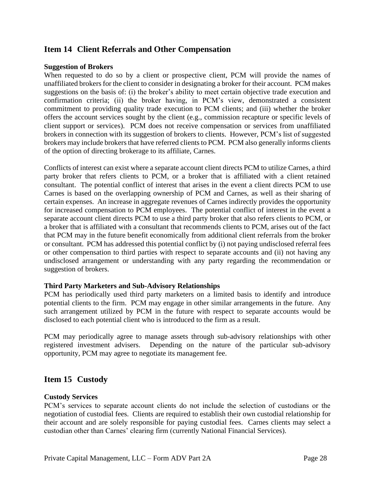## **Item 14 Client Referrals and Other Compensation**

#### **Suggestion of Brokers**

When requested to do so by a client or prospective client, PCM will provide the names of unaffiliated brokers for the client to consider in designating a broker for their account. PCM makes suggestions on the basis of: (i) the broker's ability to meet certain objective trade execution and confirmation criteria; (ii) the broker having, in PCM's view, demonstrated a consistent commitment to providing quality trade execution to PCM clients; and (iii) whether the broker offers the account services sought by the client (e.g., commission recapture or specific levels of client support or services). PCM does not receive compensation or services from unaffiliated brokers in connection with its suggestion of brokers to clients. However, PCM's list of suggested brokers may include brokers that have referred clients to PCM. PCM also generally informs clients of the option of directing brokerage to its affiliate, Carnes.

Conflicts of interest can exist where a separate account client directs PCM to utilize Carnes, a third party broker that refers clients to PCM, or a broker that is affiliated with a client retained consultant. The potential conflict of interest that arises in the event a client directs PCM to use Carnes is based on the overlapping ownership of PCM and Carnes, as well as their sharing of certain expenses. An increase in aggregate revenues of Carnes indirectly provides the opportunity for increased compensation to PCM employees. The potential conflict of interest in the event a separate account client directs PCM to use a third party broker that also refers clients to PCM, or a broker that is affiliated with a consultant that recommends clients to PCM, arises out of the fact that PCM may in the future benefit economically from additional client referrals from the broker or consultant. PCM has addressed this potential conflict by (i) not paying undisclosed referral fees or other compensation to third parties with respect to separate accounts and (ii) not having any undisclosed arrangement or understanding with any party regarding the recommendation or suggestion of brokers.

#### **Third Party Marketers and Sub-Advisory Relationships**

PCM has periodically used third party marketers on a limited basis to identify and introduce potential clients to the firm. PCM may engage in other similar arrangements in the future. Any such arrangement utilized by PCM in the future with respect to separate accounts would be disclosed to each potential client who is introduced to the firm as a result.

PCM may periodically agree to manage assets through sub-advisory relationships with other registered investment advisers. Depending on the nature of the particular sub-advisory opportunity, PCM may agree to negotiate its management fee.

## **Item 15 Custody**

#### **Custody Services**

PCM's services to separate account clients do not include the selection of custodians or the negotiation of custodial fees. Clients are required to establish their own custodial relationship for their account and are solely responsible for paying custodial fees. Carnes clients may select a custodian other than Carnes' clearing firm (currently National Financial Services).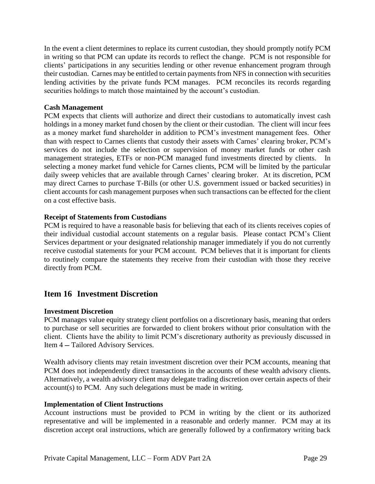In the event a client determines to replace its current custodian, they should promptly notify PCM in writing so that PCM can update its records to reflect the change. PCM is not responsible for clients' participations in any securities lending or other revenue enhancement program through their custodian. Carnes may be entitled to certain payments from NFS in connection with securities lending activities by the private funds PCM manages. PCM reconciles its records regarding securities holdings to match those maintained by the account's custodian.

#### **Cash Management**

PCM expects that clients will authorize and direct their custodians to automatically invest cash holdings in a money market fund chosen by the client or their custodian. The client will incur fees as a money market fund shareholder in addition to PCM's investment management fees. Other than with respect to Carnes clients that custody their assets with Carnes' clearing broker, PCM's services do not include the selection or supervision of money market funds or other cash management strategies, ETFs or non-PCM managed fund investments directed by clients. In selecting a money market fund vehicle for Carnes clients, PCM will be limited by the particular daily sweep vehicles that are available through Carnes' clearing broker. At its discretion, PCM may direct Carnes to purchase T-Bills (or other U.S. government issued or backed securities) in client accounts for cash management purposes when such transactions can be effected for the client on a cost effective basis.

### **Receipt of Statements from Custodians**

PCM is required to have a reasonable basis for believing that each of its clients receives copies of their individual custodial account statements on a regular basis. Please contact PCM's Client Services department or your designated relationship manager immediately if you do not currently receive custodial statements for your PCM account. PCM believes that it is important for clients to routinely compare the statements they receive from their custodian with those they receive directly from PCM.

## **Item 16 Investment Discretion**

## **Investment Discretion**

PCM manages value equity strategy client portfolios on a discretionary basis, meaning that orders to purchase or sell securities are forwarded to client brokers without prior consultation with the client. Clients have the ability to limit PCM's discretionary authority as previously discussed in Item 4 — Tailored Advisory Services.

Wealth advisory clients may retain investment discretion over their PCM accounts, meaning that PCM does not independently direct transactions in the accounts of these wealth advisory clients. Alternatively, a wealth advisory client may delegate trading discretion over certain aspects of their account(s) to PCM. Any such delegations must be made in writing.

#### **Implementation of Client Instructions**

Account instructions must be provided to PCM in writing by the client or its authorized representative and will be implemented in a reasonable and orderly manner. PCM may at its discretion accept oral instructions, which are generally followed by a confirmatory writing back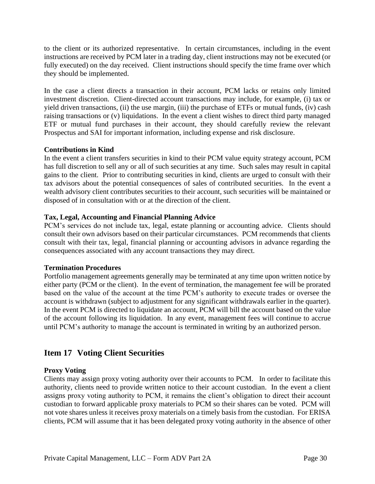to the client or its authorized representative. In certain circumstances, including in the event instructions are received by PCM later in a trading day, client instructions may not be executed (or fully executed) on the day received. Client instructions should specify the time frame over which they should be implemented.

In the case a client directs a transaction in their account, PCM lacks or retains only limited investment discretion. Client-directed account transactions may include, for example, (i) tax or yield driven transactions, (ii) the use margin, (iii) the purchase of ETFs or mutual funds, (iv) cash raising transactions or (v) liquidations. In the event a client wishes to direct third party managed ETF or mutual fund purchases in their account, they should carefully review the relevant Prospectus and SAI for important information, including expense and risk disclosure.

## **Contributions in Kind**

In the event a client transfers securities in kind to their PCM value equity strategy account, PCM has full discretion to sell any or all of such securities at any time. Such sales may result in capital gains to the client. Prior to contributing securities in kind, clients are urged to consult with their tax advisors about the potential consequences of sales of contributed securities. In the event a wealth advisory client contributes securities to their account, such securities will be maintained or disposed of in consultation with or at the direction of the client.

## **Tax, Legal, Accounting and Financial Planning Advice**

PCM's services do not include tax, legal, estate planning or accounting advice. Clients should consult their own advisors based on their particular circumstances. PCM recommends that clients consult with their tax, legal, financial planning or accounting advisors in advance regarding the consequences associated with any account transactions they may direct.

## **Termination Procedures**

Portfolio management agreements generally may be terminated at any time upon written notice by either party (PCM or the client). In the event of termination, the management fee will be prorated based on the value of the account at the time PCM's authority to execute trades or oversee the account is withdrawn (subject to adjustment for any significant withdrawals earlier in the quarter). In the event PCM is directed to liquidate an account, PCM will bill the account based on the value of the account following its liquidation. In any event, management fees will continue to accrue until PCM's authority to manage the account is terminated in writing by an authorized person.

## **Item 17 Voting Client Securities**

## **Proxy Voting**

Clients may assign proxy voting authority over their accounts to PCM. In order to facilitate this authority, clients need to provide written notice to their account custodian. In the event a client assigns proxy voting authority to PCM, it remains the client's obligation to direct their account custodian to forward applicable proxy materials to PCM so their shares can be voted. PCM will not vote shares unless it receives proxy materials on a timely basis from the custodian. For ERISA clients, PCM will assume that it has been delegated proxy voting authority in the absence of other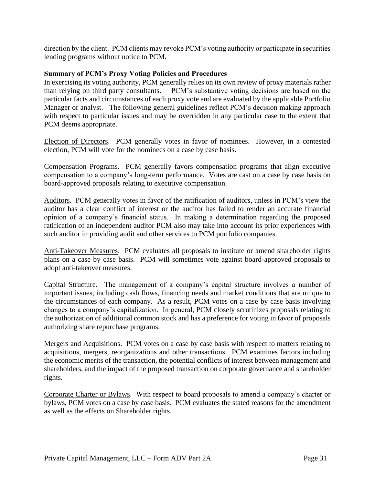direction by the client. PCM clients may revoke PCM's voting authority or participate in securities lending programs without notice to PCM.

### **Summary of PCM's Proxy Voting Policies and Procedures**

In exercising its voting authority, PCM generally relies on its own review of proxy materials rather than relying on third party consultants. PCM's substantive voting decisions are based on the particular facts and circumstances of each proxy vote and are evaluated by the applicable Portfolio Manager or analyst. The following general guidelines reflect PCM's decision making approach with respect to particular issues and may be overridden in any particular case to the extent that PCM deems appropriate.

Election of Directors. PCM generally votes in favor of nominees. However, in a contested election, PCM will vote for the nominees on a case by case basis.

Compensation Programs. PCM generally favors compensation programs that align executive compensation to a company's long-term performance. Votes are cast on a case by case basis on board-approved proposals relating to executive compensation.

Auditors. PCM generally votes in favor of the ratification of auditors, unless in PCM's view the auditor has a clear conflict of interest or the auditor has failed to render an accurate financial opinion of a company's financial status. In making a determination regarding the proposed ratification of an independent auditor PCM also may take into account its prior experiences with such auditor in providing audit and other services to PCM portfolio companies.

Anti-Takeover Measures. PCM evaluates all proposals to institute or amend shareholder rights plans on a case by case basis. PCM will sometimes vote against board-approved proposals to adopt anti-takeover measures.

Capital Structure. The management of a company's capital structure involves a number of important issues, including cash flows, financing needs and market conditions that are unique to the circumstances of each company. As a result, PCM votes on a case by case basis involving changes to a company's capitalization. In general, PCM closely scrutinizes proposals relating to the authorization of additional common stock and has a preference for voting in favor of proposals authorizing share repurchase programs.

Mergers and Acquisitions. PCM votes on a case by case basis with respect to matters relating to acquisitions, mergers, reorganizations and other transactions. PCM examines factors including the economic merits of the transaction, the potential conflicts of interest between management and shareholders, and the impact of the proposed transaction on corporate governance and shareholder rights.

Corporate Charter or Bylaws. With respect to board proposals to amend a company's charter or bylaws, PCM votes on a case by case basis. PCM evaluates the stated reasons for the amendment as well as the effects on Shareholder rights.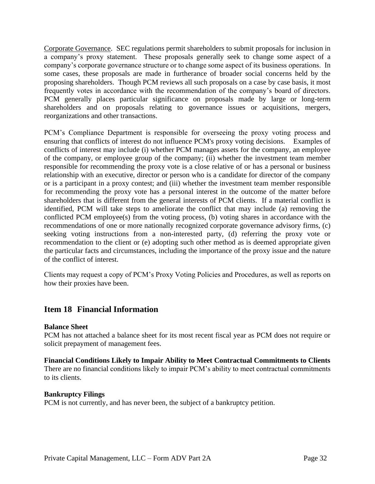Corporate Governance. SEC regulations permit shareholders to submit proposals for inclusion in a company's proxy statement. These proposals generally seek to change some aspect of a company's corporate governance structure or to change some aspect of its business operations. In some cases, these proposals are made in furtherance of broader social concerns held by the proposing shareholders. Though PCM reviews all such proposals on a case by case basis, it most frequently votes in accordance with the recommendation of the company's board of directors. PCM generally places particular significance on proposals made by large or long-term shareholders and on proposals relating to governance issues or acquisitions, mergers, reorganizations and other transactions.

PCM's Compliance Department is responsible for overseeing the proxy voting process and ensuring that conflicts of interest do not influence PCM's proxy voting decisions. Examples of conflicts of interest may include (i) whether PCM manages assets for the company, an employee of the company, or employee group of the company; (ii) whether the investment team member responsible for recommending the proxy vote is a close relative of or has a personal or business relationship with an executive, director or person who is a candidate for director of the company or is a participant in a proxy contest; and (iii) whether the investment team member responsible for recommending the proxy vote has a personal interest in the outcome of the matter before shareholders that is different from the general interests of PCM clients. If a material conflict is identified, PCM will take steps to ameliorate the conflict that may include (a) removing the conflicted PCM employee(s) from the voting process, (b) voting shares in accordance with the recommendations of one or more nationally recognized corporate governance advisory firms, (c) seeking voting instructions from a non-interested party, (d) referring the proxy vote or recommendation to the client or (e) adopting such other method as is deemed appropriate given the particular facts and circumstances, including the importance of the proxy issue and the nature of the conflict of interest.

Clients may request a copy of PCM's Proxy Voting Policies and Procedures, as well as reports on how their proxies have been.

## **Item 18 Financial Information**

#### **Balance Sheet**

PCM has not attached a balance sheet for its most recent fiscal year as PCM does not require or solicit prepayment of management fees.

# **Financial Conditions Likely to Impair Ability to Meet Contractual Commitments to Clients**

There are no financial conditions likely to impair PCM's ability to meet contractual commitments to its clients.

#### **Bankruptcy Filings**

PCM is not currently, and has never been, the subject of a bankruptcy petition.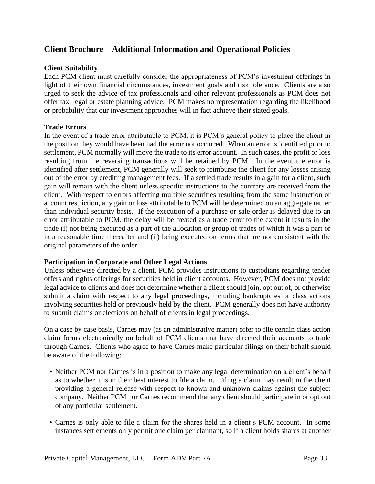## **Client Brochure – Additional Information and Operational Policies**

### **Client Suitability**

Each PCM client must carefully consider the appropriateness of PCM's investment offerings in light of their own financial circumstances, investment goals and risk tolerance. Clients are also urged to seek the advice of tax professionals and other relevant professionals as PCM does not offer tax, legal or estate planning advice. PCM makes no representation regarding the likelihood or probability that our investment approaches will in fact achieve their stated goals.

#### **Trade Errors**

In the event of a trade error attributable to PCM, it is PCM's general policy to place the client in the position they would have been had the error not occurred. When an error is identified prior to settlement, PCM normally will move the trade to its error account. In such cases, the profit or loss resulting from the reversing transactions will be retained by PCM. In the event the error is identified after settlement, PCM generally will seek to reimburse the client for any losses arising out of the error by crediting management fees. If a settled trade results in a gain for a client, such gain will remain with the client unless specific instructions to the contrary are received from the client. With respect to errors affecting multiple securities resulting from the same instruction or account restriction, any gain or loss attributable to PCM will be determined on an aggregate rather than individual security basis. If the execution of a purchase or sale order is delayed due to an error attributable to PCM, the delay will be treated as a trade error to the extent it results in the trade (i) not being executed as a part of the allocation or group of trades of which it was a part or in a reasonable time thereafter and (ii) being executed on terms that are not consistent with the original parameters of the order.

## **Participation in Corporate and Other Legal Actions**

Unless otherwise directed by a client, PCM provides instructions to custodians regarding tender offers and rights offerings for securities held in client accounts. However, PCM does not provide legal advice to clients and does not determine whether a client should join, opt out of, or otherwise submit a claim with respect to any legal proceedings, including bankruptcies or class actions involving securities held or previously held by the client. PCM generally does not have authority to submit claims or elections on behalf of clients in legal proceedings.

On a case by case basis, Carnes may (as an administrative matter) offer to file certain class action claim forms electronically on behalf of PCM clients that have directed their accounts to trade through Carnes. Clients who agree to have Carnes make particular filings on their behalf should be aware of the following:

- Neither PCM nor Carnes is in a position to make any legal determination on a client's behalf as to whether it is in their best interest to file a claim. Filing a claim may result in the client providing a general release with respect to known and unknown claims against the subject company. Neither PCM nor Carnes recommend that any client should participate in or opt out of any particular settlement.
- Carnes is only able to file a claim for the shares held in a client's PCM account. In some instances settlements only permit one claim per claimant, so if a client holds shares at another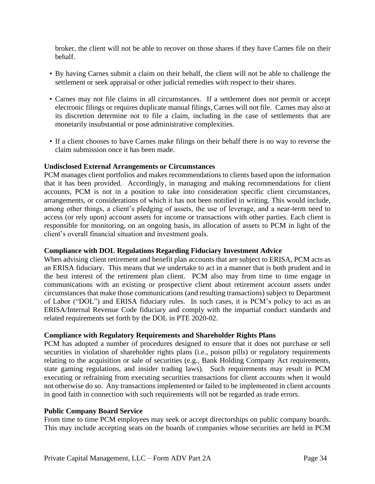broker, the client will not be able to recover on those shares if they have Carnes file on their behalf.

- By having Carnes submit a claim on their behalf, the client will not be able to challenge the settlement or seek appraisal or other judicial remedies with respect to their shares.
- Carnes may not file claims in all circumstances. If a settlement does not permit or accept electronic filings or requires duplicate manual filings, Carnes will not file. Carnes may also at its discretion determine not to file a claim, including in the case of settlements that are monetarily insubstantial or pose administrative complexities.
- If a client chooses to have Carnes make filings on their behalf there is no way to reverse the claim submission once it has been made.

#### **Undisclosed External Arrangements or Circumstances**

PCM manages client portfolios and makes recommendations to clients based upon the information that it has been provided. Accordingly, in managing and making recommendations for client accounts, PCM is not in a position to take into consideration specific client circumstances, arrangements, or considerations of which it has not been notified in writing. This would include, among other things, a client's pledging of assets, the use of leverage, and a near-term need to access (or rely upon) account assets for income or transactions with other parties. Each client is responsible for monitoring, on an ongoing basis, its allocation of assets to PCM in light of the client's overall financial situation and investment goals.

#### **Compliance with DOL Regulations Regarding Fiduciary Investment Advice**

When advising client retirement and benefit plan accounts that are subject to ERISA, PCM acts as an ERISA fiduciary. This means that we undertake to act in a manner that is both prudent and in the best interest of the retirement plan client. PCM also may from time to time engage in communications with an existing or prospective client about retirement account assets under circumstances that make those communications (and resulting transactions) subject to Department of Labor ("DOL") and ERISA fiduciary rules. In such cases, it is PCM's policy to act as an ERISA/Internal Revenue Code fiduciary and comply with the impartial conduct standards and related requirements set forth by the DOL in PTE 2020-02.

#### **Compliance with Regulatory Requirements and Shareholder Rights Plans**

PCM has adopted a number of procedures designed to ensure that it does not purchase or sell securities in violation of shareholder rights plans (i.e., poison pills) or regulatory requirements relating to the acquisition or sale of securities (e.g., Bank Holding Company Act requirements, state gaming regulations, and insider trading laws). Such requirements may result in PCM executing or refraining from executing securities transactions for client accounts when it would not otherwise do so. Any transactions implemented or failed to be implemented in client accounts in good faith in connection with such requirements will not be regarded as trade errors.

#### **Public Company Board Service**

From time to time PCM employees may seek or accept directorships on public company boards. This may include accepting seats on the boards of companies whose securities are held in PCM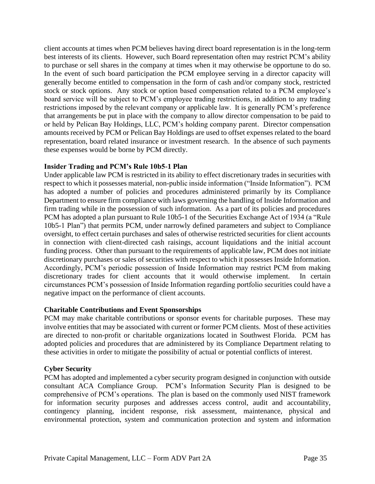client accounts at times when PCM believes having direct board representation is in the long-term best interests of its clients. However, such Board representation often may restrict PCM's ability to purchase or sell shares in the company at times when it may otherwise be opportune to do so. In the event of such board participation the PCM employee serving in a director capacity will generally become entitled to compensation in the form of cash and/or company stock, restricted stock or stock options. Any stock or option based compensation related to a PCM employee's board service will be subject to PCM's employee trading restrictions, in addition to any trading restrictions imposed by the relevant company or applicable law. It is generally PCM's preference that arrangements be put in place with the company to allow director compensation to be paid to or held by Pelican Bay Holdings, LLC, PCM's holding company parent. Director compensation amounts received by PCM or Pelican Bay Holdings are used to offset expenses related to the board representation, board related insurance or investment research. In the absence of such payments these expenses would be borne by PCM directly.

### **Insider Trading and PCM's Rule 10b5-1 Plan**

Under applicable law PCM is restricted in its ability to effect discretionary trades in securities with respect to which it possesses material, non-public inside information ("Inside Information"). PCM has adopted a number of policies and procedures administered primarily by its Compliance Department to ensure firm compliance with laws governing the handling of Inside Information and firm trading while in the possession of such information. As a part of its policies and procedures PCM has adopted a plan pursuant to Rule 10b5-1 of the Securities Exchange Act of 1934 (a "Rule 10b5-1 Plan") that permits PCM, under narrowly defined parameters and subject to Compliance oversight, to effect certain purchases and sales of otherwise restricted securities for client accounts in connection with client-directed cash raisings, account liquidations and the initial account funding process. Other than pursuant to the requirements of applicable law, PCM does not initiate discretionary purchases or sales of securities with respect to which it possesses Inside Information. Accordingly, PCM's periodic possession of Inside Information may restrict PCM from making discretionary trades for client accounts that it would otherwise implement. In certain circumstances PCM's possession of Inside Information regarding portfolio securities could have a negative impact on the performance of client accounts.

## **Charitable Contributions and Event Sponsorships**

PCM may make charitable contributions or sponsor events for charitable purposes. These may involve entities that may be associated with current or former PCM clients. Most of these activities are directed to non-profit or charitable organizations located in Southwest Florida. PCM has adopted policies and procedures that are administered by its Compliance Department relating to these activities in order to mitigate the possibility of actual or potential conflicts of interest.

#### **Cyber Security**

PCM has adopted and implemented a cyber security program designed in conjunction with outside consultant ACA Compliance Group. PCM's Information Security Plan is designed to be comprehensive of PCM's operations. The plan is based on the commonly used NIST framework for information security purposes and addresses access control, audit and accountability, contingency planning, incident response, risk assessment, maintenance, physical and environmental protection, system and communication protection and system and information